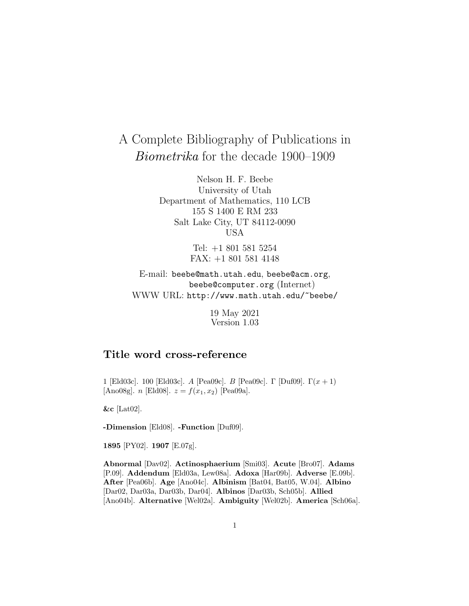# A Complete Bibliography of Publications in Biometrika for the decade 1900–1909

Nelson H. F. Beebe University of Utah Department of Mathematics, 110 LCB 155 S 1400 E RM 233 Salt Lake City, UT 84112-0090 USA

> Tel: +1 801 581 5254 FAX: +1 801 581 4148

E-mail: beebe@math.utah.edu, beebe@acm.org, beebe@computer.org (Internet) WWW URL: http://www.math.utah.edu/~beebe/

> 19 May 2021 Version 1.03

## **Title word cross-reference**

1 [Eld03c]. 100 [Eld03c]. A [Pea09c]. B [Pea09c]. Γ [Duf09].  $\Gamma(x+1)$ [Ano08g]. *n* [Eld08].  $z = f(x_1, x_2)$  [Pea09a].

**&c** [Lat02].

**-Dimension** [Eld08]. **-Function** [Duf09].

**1895** [PY02]. **1907** [E.07g].

**Abnormal** [Dav02]. **Actinosphaerium** [Smi03]. **Acute** [Bro07]. **Adams** [P.09]. **Addendum** [Eld03a, Lew08a]. **Adoxa** [Har09b]. **Adverse** [E.09b]. **After** [Pea06b]. **Age** [Ano04c]. **Albinism** [Bat04, Bat05, W.04]. **Albino** [Dar02, Dar03a, Dar03b, Dar04]. **Albinos** [Dar03b, Sch05b]. **Allied** [Ano04b]. **Alternative** [Wel02a]. **Ambiguity** [Wel02b]. **America** [Sch06a].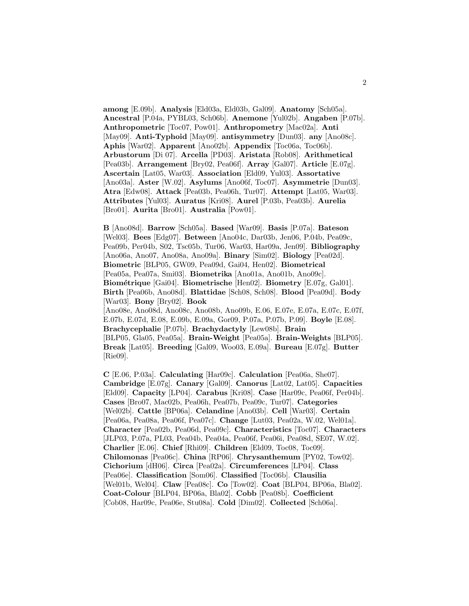**among** [E.09b]. **Analysis** [Eld03a, Eld03b, Gal09]. **Anatomy** [Sch05a]. **Ancestral** [P.04a, PYBL03, Sch06b]. **Anemone** [Yul02b]. **Angaben** [P.07b]. **Anthropometric** [Toc07, Pow01]. **Anthropometry** [Mac02a]. **Anti** [May09]. **Anti-Typhoid** [May09]. **antisymmetry** [Dun03]. **any** [Ano08c]. **Aphis** [War02]. **Apparent** [Ano02b]. **Appendix** [Toc06a, Toc06b]. **Arbustorum** [Di 07]. **Arcella** [PD03]. **Aristata** [Rob08]. **Arithmetical** [Pea03b]. **Arrangement** [Bry02, Pea06f]. **Array** [Gal07]. **Article** [E.07g]. **Ascertain** [Lat05, War03]. **Association** [Eld09, Yul03]. **Assortative** [Ano03a]. **Aster** [W.02]. **Asylums** [Ano06f, Toc07]. **Asymmetrie** [Dun03]. **Atra** [Edw08]. **Attack** [Pea03b, Pea06h, Tur07]. **Attempt** [Lat05, War03]. **Attributes** [Yul03]. **Auratus** [Kri08]. **Aurel** [P.03b, Pea03b]. **Aurelia** [Bro01]. **Aurita** [Bro01]. **Australia** [Pow01].

**B** [Ano08d]. **Barrow** [Sch05a]. **Based** [War09]. **Basis** [P.07a]. **Bateson** [Wel03]. **Bees** [Edg07]. **Between** [Ano04c, Dar03b, Jen06, P.04b, Pea09c, Pea09b, Per04b, S02, Tsc05b, Tur06, War03, Har09a, Jen09]. **Bibliography** [Ano06a, Ano07, Ano08a, Ano09a]. **Binary** [Sim02]. **Biology** [Pea02d]. **Biometric** [BLP05, GW09, Pea09d, Gai04, Hen02]. **Biometrical** [Pea05a, Pea07a, Smi03]. **Biometrika** [Ano01a, Ano01b, Ano09c]. **Biom´etrique** [Gai04]. **Biometrische** [Hen02]. **Biometry** [E.07g, Gal01]. **Birth** [Pea06b, Ano08d]. **Blattidae** [Sch08, Sch08]. **Blood** [Pea09d]. **Body** [War03]. **Bony** [Bry02]. **Book** [Ano08e, Ano08d, Ano08c, Ano08b, Ano09b, E.06, E.07e, E.07a, E.07c, E.07f, E.07b, E.07d, E.08, E.09b, E.09a, Gor09, P.07a, P.07b, P.09]. **Boyle** [E.08]. **Brachycephalie** [P.07b]. **Brachydactyly** [Lew08b]. **Brain** [BLP05, Gla05, Pea05a]. **Brain-Weight** [Pea05a]. **Brain-Weights** [BLP05]. **Break** [Lat05]. **Breeding** [Gal09, Woo03, E.09a]. **Bureau** [E.07g]. **Butter** [Rie09].

**C** [E.06, P.03a]. **Calculating** [Har09c]. **Calculation** [Pea06a, She07]. **Cambridge** [E.07g]. **Canary** [Gal09]. **Canorus** [Lat02, Lat05]. **Capacities** [Eld09]. **Capacity** [LP04]. **Carabus** [Kri08]. **Case** [Har09c, Pea06f, Per04b]. **Cases** [Bro07, Mac02b, Pea06h, Pea07b, Pea09c, Tur07]. **Categories** [Wel02b]. **Cattle** [BP06a]. **Celandine** [Ano03b]. **Cell** [War03]. **Certain** [Pea06a, Pea08a, Pea06f, Pea07c]. **Change** [Lut03, Pea02a, W.02, Wel01a]. **Character** [Pea02b, Pea06d, Pea09c]. **Characteristics** [Toc07]. **Characters** [JLP03, P.07a, PL03, Pea04b, Pea04a, Pea06f, Pea06i, Pea08d, SE07, W.02]. **Charlier** [E.06]. **Chief** [Rhi09]. **Children** [Eld09, Toc08, Toc09]. **Chilomonas** [Pea06c]. **China** [RP06]. **Chrysanthemum** [PY02, Tow02]. **Cichorium** [dH06]. **Circa** [Pea02a]. **Circumferences** [LP04]. **Class** [Pea06e]. **Classification** [Som06]. **Classified** [Toc06b]. **Clausilia** [Wel01b, Wel04]. **Claw** [Pea08c]. **Co** [Tow02]. **Coat** [BLP04, BP06a, Bla02]. **Coat-Colour** [BLP04, BP06a, Bla02]. **Cobb** [Pea08b]. **Coefficient** [Cob08, Har09c, Pea06e, Stu08a]. **Cold** [Dim02]. **Collected** [Sch06a].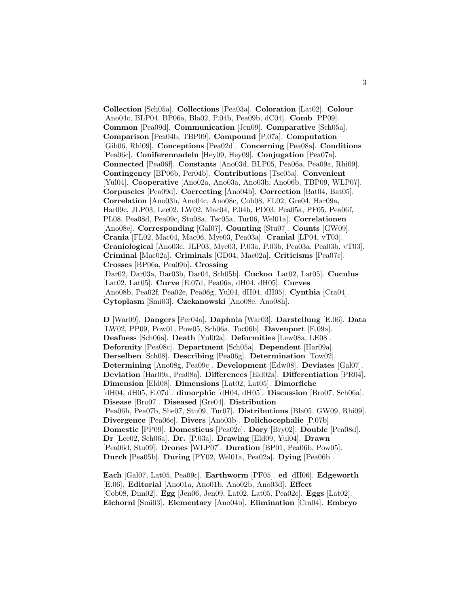**Collection** [Sch05a]. **Collections** [Pea03a]. **Coloration** [Lat02]. **Colour** [Ano04c, BLP04, BP06a, Bla02, P.04b, Pea09b, dC04]. **Comb** [PP09]. **Common** [Pea09d]. **Communication** [Jen09]. **Comparative** [Sch05a]. **Comparison** [Pea04b, TBP09]. **Compound** [P.07a]. **Computation** [Gib06, Rhi09]. **Conceptions** [Pea02d]. **Concerning** [Pea08a]. **Conditions** [Pea06c]. **Coniferennadeln** [Hey09, Hey09]. **Conjugation** [Pea07a]. **Connected** [Pea06f]. **Constants** [Ano03d, BLP05, Pea06a, Pea09a, Rhi09]. **Contingency** [BP06b, Per04b]. **Contributions** [Tsc05a]. **Convenient** [Yul04]. **Cooperative** [Ano02a, Ano03a, Ano03b, Ano06b, TBP09, WLP07]. **Corpuscles** [Pea09d]. **Correcting** [Ano04b]. **Correction** [Bat04, Bat05]. **Correlation** [Ano03b, Ano04c, Ano08c, Cob08, FL02, Gre04, Har09a, Har09c, JLP03, Lee02, LW02, Mac04, P.04b, PD03, Pea05a, PF05, Pea06f, PL08, Pea08d, Pea09c, Stu08a, Tsc05a, Tur06, Wel01a]. **Correlationen** [Ano08e]. **Corresponding** [Gal07]. **Counting** [Stu07]. **Counts** [GW09]. **Crania** [FL02, Mac04, Mac06, Mye03, Pea03a]. **Cranial** [LP04, vT03]. **Craniological** [Ano03c, JLP03, Mye03, P.03a, P.03b, Pea03a, Pea03b, vT03]. **Criminal** [Mac02a]. **Criminals** [GD04, Mac02a]. **Criticisms** [Pea07c]. **Crosses** [BP06a, Pea09b]. **Crossing** [Dar02, Dar03a, Dar03b, Dar04, Sch05b]. **Cuckoo** [Lat02, Lat05]. **Cuculus** [Lat02, Lat05]. **Curve** [E.07d, Pea06a, dH04, dH05]. **Curves** [Ano08b, Pea02f, Pea02e, Pea06g, Yul04, dH04, dH05]. **Cynthia** [Cra04]. **Cytoplasm** [Smi03]. **Czekanowski** [Ano08e, Ano08h].

**D** [War09]. **Dangers** [Per04a]. **Daphnia** [War03]. **Darstellung** [E.06]. **Data** [LW02, PP09, Pow01, Pow05, Sch06a, Toc06b]. **Davenport** [E.09a]. **Deafness** [Sch06a]. **Death** [Yul02a]. **Deformities** [Lew08a, LE08]. **Deformity** [Pea08c]. **Department** [Sch05a]. **Dependent** [Har09a]. **Derselben** [Sch08]. **Describing** [Pea06g]. **Determination** [Tow02]. **Determining** [Ano08g, Pea09c]. **Development** [Edw08]. **Deviates** [Gal07]. **Deviation** [Har09a, Pea08a]. **Differences** [Eld02a]. **Differentiation** [PR04]. **Dimension** [Eld08]. **Dimensions** [Lat02, Lat05]. **Dimorfiche** [dH04, dH05, E.07d]. **dimorphic** [dH04, dH05]. **Discussion** [Bro07, Sch06a]. **Disease** [Bro07]. **Diseased** [Gre04]. **Distribution** [Pea06h, Pea07b, She07, Stu09, Tur07]. **Distributions** [Bla05, GW09, Rhi09]. **Divergence** [Pea06e]. **Divers** [Ano03b]. **Dolichocephalie** [P.07b]. **Domestic** [PP09]. **Domesticus** [Pea02c]. **Dory** [Bry02]. **Double** [Pea08d]. **Dr** [Lee02, Sch06a]. **Dr.** [P.03a]. **Drawing** [Eld09, Yul04]. **Drawn** [Pea06d, Stu09]. **Drones** [WLP07]. **Duration** [BP01, Pea06b, Pow05]. **Durch** [Pea05b]. **During** [PY02, Wel01a, Pea02a]. **Dying** [Pea06b].

**Each** [Gal07, Lat05, Pea09c]. **Earthworm** [PF05]. **ed** [dH06]. **Edgeworth** [E.06]. **Editorial** [Ano01a, Ano01b, Ano02b, Ano03d]. **Effect** [Cob08, Dim02]. **Egg** [Jen06, Jen09, Lat02, Lat05, Pea02c]. **Eggs** [Lat02]. **Eichorni** [Smi03]. **Elementary** [Ano04b]. **Elimination** [Cra04]. **Embryo**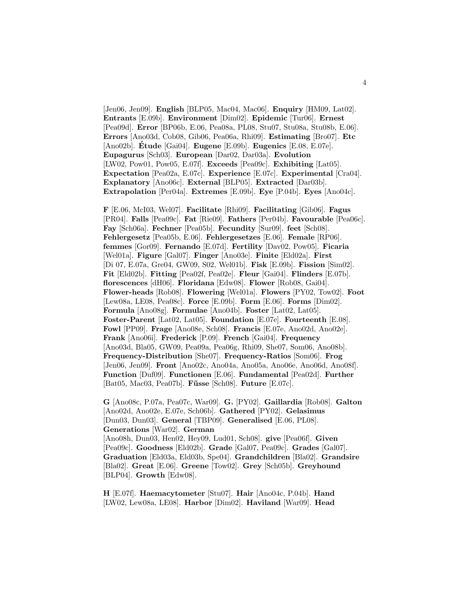[Jen06, Jen09]. **English** [BLP05, Mac04, Mac06]. **Enquiry** [HM09, Lat02]. **Entrants** [E.09b]. **Environment** [Dim02]. **Epidemic** [Tur06]. **Ernest** [Pea09d]. **Error** [BP06b, E.06, Pea08a, PL08, Stu07, Stu08a, Stu08b, E.06]. **Errors** [Ano03d, Cob08, Gib06, Pea06a, Rhi09]. **Estimating** [Bro07]. **Etc** [Ano02b]. **Etude ´** [Gai04]. **Eugene** [E.09b]. **Eugenics** [E.08, E.07e]. **Eupagurus** [Sch03]. **European** [Dar02, Dar03a]. **Evolution** [LW02, Pow01, Pow05, E.07f]. **Exceeds** [Pea09c]. **Exhibiting** [Lat05]. **Expectation** [Pea02a, E.07c]. **Experience** [E.07c]. **Experimental** [Cra04]. **Explanatory** [Ano06c]. **External** [BLP05]. **Extracted** [Dar03b]. **Extrapolation** [Per04a]. **Extremes** [E.09b]. **Eye** [P.04b]. **Eyes** [Ano04c].

**F** [E.06, McI03, Wel07]. **Facilitate** [Rhi09]. **Facilitating** [Gib06]. **Fagus** [PR04]. **Falls** [Pea09c]. **Fat** [Rie09]. **Fathers** [Per04b]. **Favourable** [Pea06c]. **Fay** [Sch06a]. **Fechner** [Pea05b]. **Fecundity** [Sur09]. **feet** [Sch08]. **Fehlergesetz** [Pea05b, E.06]. **Fehlergesetzes** [E.06]. **Female** [RP06]. **femmes** [Gor09]. **Fernando** [E.07d]. **Fertility** [Dav02, Pow05]. **Ficaria** [Wel01a]. **Figure** [Gal07]. **Finger** [Ano03e]. **Finite** [Eld02a]. **First** [Di 07, E.07a, Gre04, GW09, S02, Wel01b]. **Fisk** [E.09b]. **Fission** [Sim02]. **Fit** [Eld02b]. **Fitting** [Pea02f, Pea02e]. **Fleur** [Gai04]. **Flinders** [E.07b]. **florescences** [dH06]. **Floridana** [Edw08]. **Flower** [Rob08, Gai04]. **Flower-heads** [Rob08]. **Flowering** [Wel01a]. **Flowers** [PY02, Tow02]. **Foot** [Lew08a, LE08, Pea08c]. **Force** [E.09b]. **Form** [E.06]. **Forms** [Dim02]. **Formula** [Ano08g]. **Formulae** [Ano04b]. **Foster** [Lat02, Lat05]. **Foster-Parent** [Lat02, Lat05]. **Foundation** [E.07e]. **Fourteenth** [E.08]. **Fowl** [PP09]. **Frage** [Ano08e, Sch08]. **Francis** [E.07e, Ano02d, Ano02e]. **Frank** [Ano06i]. **Frederick** [P.09]. **French** [Gai04]. **Frequency** [Ano03d, Bla05, GW09, Pea09a, Pea06g, Rhi09, She07, Som06, Ano08b]. **Frequency-Distribution** [She07]. **Frequency-Ratios** [Som06]. **Frog** [Jen06, Jen09]. **Front** [Ano02c, Ano04a, Ano05a, Ano06e, Ano06d, Ano08f]. **Function** [Duf09]. **Functionen** [E.06]. **Fundamental** [Pea02d]. **Further** [Bat05, Mac03, Pea07b]. **Füsse** [Sch08]. **Future** [E.07c].

**G** [Ano08c, P.07a, Pea07c, War09]. **G.** [PY02]. **Gaillardia** [Rob08]. **Galton** [Ano02d, Ano02e, E.07e, Sch06b]. **Gathered** [PY02]. **Gelasimus** [Dun03, Dun03]. **General** [TBP09]. **Generalised** [E.06, PL08]. **Generations** [War02]. **German** [Ano08h, Dun03, Hen02, Hey09, Lud01, Sch08]. **give** [Pea06f]. **Given** [Pea09c]. **Goodness** [Eld02b]. **Grade** [Gal07, Pea09c]. **Grades** [Gal07]. **Graduation** [Eld03a, Eld03b, Spe04]. **Grandchildren** [Bla02]. **Grandsire** [Bla02]. **Great** [E.06]. **Greene** [Tow02]. **Grey** [Sch05b]. **Greyhound** [BLP04]. **Growth** [Edw08].

**H** [E.07f]. **Haemacytometer** [Stu07]. **Hair** [Ano04c, P.04b]. **Hand** [LW02, Lew08a, LE08]. **Harbor** [Dim02]. **Haviland** [War09]. **Head**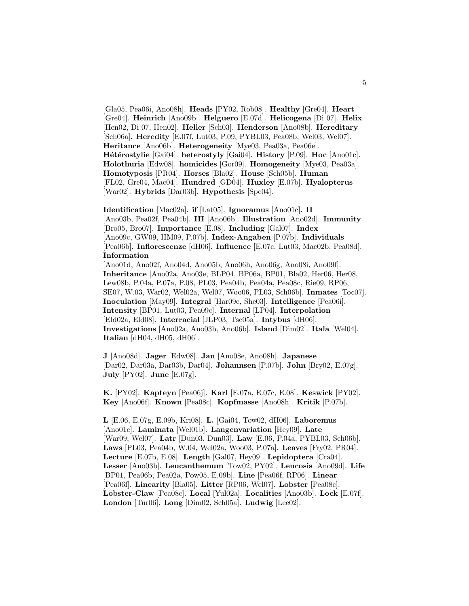[Gla05, Pea06i, Ano08h]. **Heads** [PY02, Rob08]. **Healthy** [Gre04]. **Heart** [Gre04]. **Heinrich** [Ano09b]. **Helguero** [E.07d]. **Helicogena** [Di 07]. **Helix** [Hen02, Di 07, Hen02]. **Heller** [Sch03]. **Henderson** [Ano08b]. **Hereditary** [Sch06a]. **Heredity** [E.07f, Lut03, P.09, PYBL03, Pea08b, Wel03, Wel07]. **Heritance** [Ano06b]. **Heterogeneity** [Mye03, Pea03a, Pea06e]. **Hétérostylie** [Gai04]. **heterostyly** [Gai04]. **History** [P.09]. **Hoc** [Ano01c]. **Holothuria** [Edw08]. **homicides** [Gor09]. **Homogeneity** [Mye03, Pea03a]. **Homotyposis** [PR04]. **Horses** [Bla02]. **House** [Sch05b]. **Human** [FL02, Gre04, Mac04]. **Hundred** [GD04]. **Huxley** [E.07b]. **Hyalopterus** [War02]. **Hybrids** [Dar03b]. **Hypothesis** [Spe04].

**Identification** [Mac02a]. **if** [Lat05]. **Ignoramus** [Ano01c]. **II** [Ano03b, Pea02f, Pea04b]. **III** [Ano06b]. **Illustration** [Ano02d]. **Immunity** [Bro05, Bro07]. **Importance** [E.08]. **Including** [Gal07]. **Index** [Ano09c, GW09, HM09, P.07b]. **Index-Angaben** [P.07b]. **Individuals** [Pea06b]. **Inflorescenze** [dH06]. **Influence** [E.07c, Lut03, Mac02b, Pea08d]. **Information**

[Ano01d, Ano02f, Ano04d, Ano05b, Ano06h, Ano06g, Ano08i, Ano09f]. **Inheritance** [Ano02a, Ano03e, BLP04, BP06a, BP01, Bla02, Her06, Her08, Lew08b, P.04a, P.07a, P.08, PL03, Pea04b, Pea04a, Pea08c, Rie09, RP06, SE07, W.03, War02, Wel02a, Wel07, Woo06, PL03, Sch06b]. **Inmates** [Toc07]. **Inoculation** [May09]. **Integral** [Har09c, She03]. **Intelligence** [Pea06i]. **Intensity** [BP01, Lut03, Pea09c]. **Internal** [LP04]. **Interpolation** [Eld02a, Eld08]. **Interracial** [JLP03, Tsc05a]. **Intybus** [dH06]. **Investigations** [Ano02a, Ano03b, Ano06b]. **Island** [Dim02]. **Itala** [Wel04]. **Italian** [dH04, dH05, dH06].

**J** [Ano08d]. **Jager** [Edw08]. **Jan** [Ano08e, Ano08h]. **Japanese** [Dar02, Dar03a, Dar03b, Dar04]. **Johannsen** [P.07b]. **John** [Bry02, E.07g]. **July** [PY02]. **June** [E.07g].

**K.** [PY02]. **Kapteyn** [Pea06j]. **Karl** [E.07a, E.07c, E.08]. **Keswick** [PY02]. **Key** [Ano06f]. **Known** [Pea08c]. **Kopfmasse** [Ano08h]. **Kritik** [P.07b].

**L** [E.06, E.07g, E.09b, Kri08]. **L.** [Gai04, Tow02, dH06]. **Laboremus** [Ano01c]. **Laminata** [Wel01b]. **Langenvariation** [Hey09]. **Late** [War09, Wel07]. **Latr** [Dun03, Dun03]. **Law** [E.06, P.04a, PYBL03, Sch06b]. **Laws** [PL03, Pea04b, W.04, Wel02a, Woo03, P.07a]. **Leaves** [Fry02, PR04]. **Lecture** [E.07b, E.08]. **Length** [Gal07, Hey09]. **Lepidoptera** [Cra04]. **Lesser** [Ano03b]. **Leucanthemum** [Tow02, PY02]. **Leucosis** [Ano09d]. **Life** [BP01, Pea06b, Pea02a, Pow05, E.09b]. **Line** [Pea06f, RP06]. **Linear** [Pea06f]. **Linearity** [Bla05]. **Litter** [RP06, Wel07]. **Lobster** [Pea08c]. **Lobster-Claw** [Pea08c]. **Local** [Yul02a]. **Localities** [Ano03b]. **Lock** [E.07f]. **London** [Tur06]. **Long** [Dim02, Sch05a]. **Ludwig** [Lee02].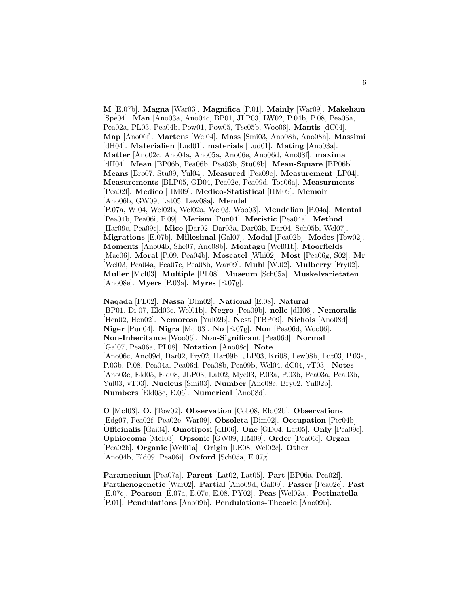**M** [E.07b]. **Magna** [War03]. **Magnifica** [P.01]. **Mainly** [War09]. **Makeham** [Spe04]. **Man** [Ano03a, Ano04c, BP01, JLP03, LW02, P.04b, P.08, Pea05a, Pea02a, PL03, Pea04b, Pow01, Pow05, Tsc05b, Woo06]. **Mantis** [dC04]. **Map** [Ano06f]. **Martens** [Wel04]. **Mass** [Smi03, Ano08h, Ano08h]. **Massimi** [dH04]. **Materialien** [Lud01]. **materials** [Lud01]. **Mating** [Ano03a]. **Matter** [Ano02c, Ano04a, Ano05a, Ano06e, Ano06d, Ano08f]. **maxima** [dH04]. **Mean** [BP06b, Pea06b, Pea03b, Stu08b]. **Mean-Square** [BP06b]. **Means** [Bro07, Stu09, Yul04]. **Measured** [Pea09c]. **Measurement** [LP04]. **Measurements** [BLP05, GD04, Pea02e, Pea09d, Toc06a]. **Measurments** [Pea02f]. **Medico** [HM09]. **Medico-Statistical** [HM09]. **Memoir** [Ano06b, GW09, Lat05, Lew08a]. **Mendel** [P.07a, W.04, Wel02b, Wel02a, Wel03, Woo03]. **Mendelian** [P.04a]. **Mental** [Pea04b, Pea06i, P.09]. **Merism** [Pun04]. **Meristic** [Pea04a]. **Method** [Har09c, Pea09c]. **Mice** [Dar02, Dar03a, Dar03b, Dar04, Sch05b, Wel07]. **Migrations** [E.07b]. **Millesimal** [Gal07]. **Modal** [Pea02b]. **Modes** [Tow02]. **Moments** [Ano04b, She07, Ano08b]. **Montagu** [Wel01b]. **Moorfields** [Mac06]. **Moral** [P.09, Pea04b]. **Moscatel** [Whi02]. **Most** [Pea06g, S02]. **Mr** [Wel03, Pea04a, Pea07c, Pea08b, War09]. **Muhl** [W.02]. **Mulberry** [Fry02]. **Muller** [McI03]. **Multiple** [PL08]. **Museum** [Sch05a]. **Muskelvarietaten** [Ano08e]. **Myers** [P.03a]. **Myres** [E.07g].

**Naqada** [FL02]. **Nassa** [Dim02]. **National** [E.08]. **Natural** [BP01, Di 07, Eld03c, Wel01b]. **Negro** [Pea09b]. **nelle** [dH06]. **Nemoralis** [Hen02, Hen02]. **Nemorosa** [Yul02b]. **Nest** [TBP09]. **Nichols** [Ano08d]. **Niger** [Pun04]. **Nigra** [McI03]. **No** [E.07g]. **Non** [Pea06d, Woo06]. **Non-Inheritance** [Woo06]. **Non-Significant** [Pea06d]. **Normal** [Gal07, Pea06a, PL08]. **Notation** [Ano08c]. **Note** [Ano06c, Ano09d, Dar02, Fry02, Har09b, JLP03, Kri08, Lew08b, Lut03, P.03a, P.03b, P.08, Pea04a, Pea06d, Pea08b, Pea09b, Wel04, dC04, vT03]. **Notes** [Ano03c, Eld05, Eld08, JLP03, Lat02, Mye03, P.03a, P.03b, Pea03a, Pea03b, Yul03, vT03]. **Nucleus** [Smi03]. **Number** [Ano08c, Bry02, Yul02b]. **Numbers** [Eld03c, E.06]. **Numerical** [Ano08d].

**O** [McI03]. **O.** [Tow02]. **Observation** [Cob08, Eld02b]. **Observations** [Edg07, Pea02f, Pea02e, War09]. **Obsoleta** [Dim02]. **Occupation** [Per04b]. **Officinalis** [Gai04]. **Omotiposi** [dH06]. **One** [GD04, Lat05]. **Only** [Pea09c]. **Ophiocoma** [McI03]. **Opsonic** [GW09, HM09]. **Order** [Pea06f]. **Organ** [Pea02b]. **Organic** [Wel01a]. **Origin** [LE08, Wel02c]. **Other** [Ano04b, Eld09, Pea06i]. **Oxford** [Sch05a, E.07g].

**Paramecium** [Pea07a]. **Parent** [Lat02, Lat05]. **Part** [BP06a, Pea02f]. **Parthenogenetic** [War02]. **Partial** [Ano09d, Gal09]. **Passer** [Pea02c]. **Past** [E.07c]. **Pearson** [E.07a, E.07c, E.08, PY02]. **Peas** [Wel02a]. **Pectinatella** [P.01]. **Pendulations** [Ano09b]. **Pendulations-Theorie** [Ano09b].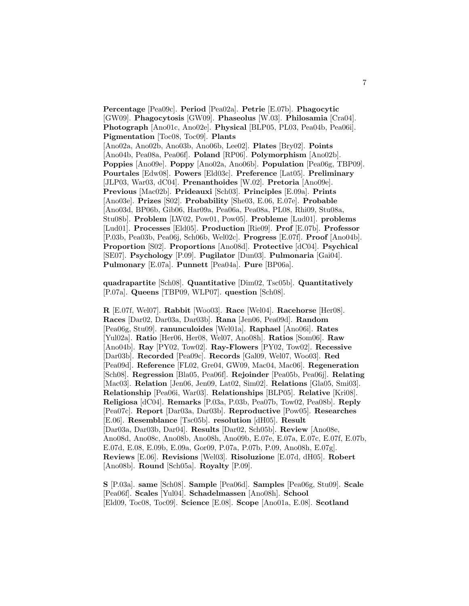**Percentage** [Pea09c]. **Period** [Pea02a]. **Petrie** [E.07b]. **Phagocytic** [GW09]. **Phagocytosis** [GW09]. **Phaseolus** [W.03]. **Philosamia** [Cra04]. **Photograph** [Ano01c, Ano02e]. **Physical** [BLP05, PL03, Pea04b, Pea06i]. **Pigmentation** [Toc08, Toc09]. **Plants** [Ano02a, Ano02b, Ano03b, Ano06b, Lee02]. **Plates** [Bry02]. **Points** [Ano04b, Pea08a, Pea06f]. **Poland** [RP06]. **Polymorphism** [Ano02b]. **Poppies** [Ano09e]. **Poppy** [Ano02a, Ano06b]. **Population** [Pea06g, TBP09]. **Pourtales** [Edw08]. **Powers** [Eld03c]. **Preference** [Lat05]. **Preliminary** [JLP03, War03, dC04]. **Prenanthoides** [W.02]. **Pretoria** [Ano09e]. **Previous** [Mac02b]. **Prideauxi** [Sch03]. **Principles** [E.09a]. **Prints** [Ano03e]. **Prizes** [S02]. **Probability** [She03, E.06, E.07e]. **Probable** [Ano03d, BP06b, Gib06, Har09a, Pea06a, Pea08a, PL08, Rhi09, Stu08a, Stu08b]. **Problem** [LW02, Pow01, Pow05]. **Probleme** [Lud01]. **problems** [Lud01]. **Processes** [Eld05]. **Production** [Rie09]. **Prof** [E.07b]. **Professor** [P.03b, Pea03b, Pea06j, Sch06b, Wel02c]. **Progress** [E.07f]. **Proof** [Ano04b]. **Proportion** [S02]. **Proportions** [Ano08d]. **Protective** [dC04]. **Psychical** [SE07]. **Psychology** [P.09]. **Pugilator** [Dun03]. **Pulmonaria** [Gai04]. **Pulmonary** [E.07a]. **Punnett** [Pea04a]. **Pure** [BP06a].

**quadrapartite** [Sch08]. **Quantitative** [Dim02, Tsc05b]. **Quantitatively** [P.07a]. **Queens** [TBP09, WLP07]. **question** [Sch08].

**R** [E.07f, Wel07]. **Rabbit** [Woo03]. **Race** [Wel04]. **Racehorse** [Her08]. **Races** [Dar02, Dar03a, Dar03b]. **Rana** [Jen06, Pea09d]. **Random** [Pea06g, Stu09]. **ranunculoides** [Wel01a]. **Raphael** [Ano06i]. **Rates** [Yul02a]. **Ratio** [Her06, Her08, Wel07, Ano08h]. **Ratios** [Som06]. **Raw** [Ano04b]. **Ray** [PY02, Tow02]. **Ray-Flowers** [PY02, Tow02]. **Recessive** [Dar03b]. **Recorded** [Pea09c]. **Records** [Gal09, Wel07, Woo03]. **Red** [Pea09d]. **Reference** [FL02, Gre04, GW09, Mac04, Mac06]. **Regeneration** [Sch08]. **Regression** [Bla05, Pea06f]. **Rejoinder** [Pea05b, Pea06j]. **Relating** [Mac03]. **Relation** [Jen06, Jen09, Lat02, Sim02]. **Relations** [Gla05, Smi03]. **Relationship** [Pea06i, War03]. **Relationships** [BLP05]. **Relative** [Kri08]. **Religiosa** [dC04]. **Remarks** [P.03a, P.03b, Pea07b, Tow02, Pea08b]. **Reply** [Pea07c]. **Report** [Dar03a, Dar03b]. **Reproductive** [Pow05]. **Researches** [E.06]. **Resemblance** [Tsc05b]. **resolution** [dH05]. **Result** [Dar03a, Dar03b, Dar04]. **Results** [Dar02, Sch05b]. **Review** [Ano08e, Ano08d, Ano08c, Ano08b, Ano08h, Ano09b, E.07e, E.07a, E.07c, E.07f, E.07b, E.07d, E.08, E.09b, E.09a, Gor09, P.07a, P.07b, P.09, Ano08h, E.07g]. **Reviews** [E.06]. **Revisions** [Wel03]. **Risoluzione** [E.07d, dH05]. **Robert** [Ano08b]. **Round** [Sch05a]. **Royalty** [P.09].

**S** [P.03a]. **same** [Sch08]. **Sample** [Pea06d]. **Samples** [Pea06g, Stu09]. **Scale** [Pea06f]. **Scales** [Yul04]. **Schadelmassen** [Ano08h]. **School** [Eld09, Toc08, Toc09]. **Science** [E.08]. **Scope** [Ano01a, E.08]. **Scotland**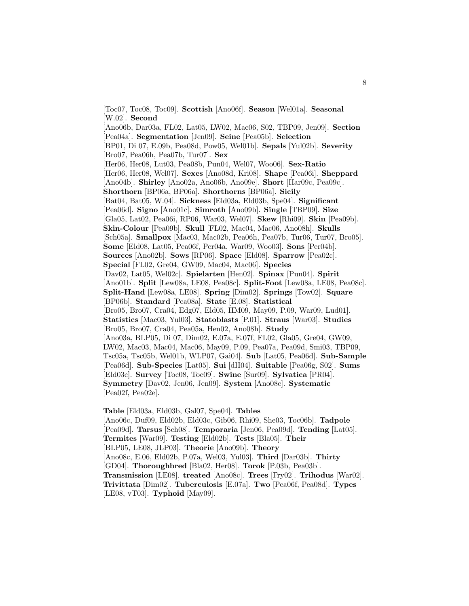[Toc07, Toc08, Toc09]. **Scottish** [Ano06f]. **Season** [Wel01a]. **Seasonal** [W.02]. **Second** [Ano06b, Dar03a, FL02, Lat05, LW02, Mac06, S02, TBP09, Jen09]. **Section** [Pea04a]. **Segmentation** [Jen09]. **Seine** [Pea05b]. **Selection** [BP01, Di 07, E.09b, Pea08d, Pow05, Wel01b]. **Sepals** [Yul02b]. **Severity** [Bro07, Pea06h, Pea07b, Tur07]. **Sex** [Her06, Her08, Lut03, Pea08b, Pun04, Wel07, Woo06]. **Sex-Ratio** [Her06, Her08, Wel07]. **Sexes** [Ano08d, Kri08]. **Shape** [Pea06i]. **Sheppard** [Ano04b]. **Shirley** [Ano02a, Ano06b, Ano09e]. **Short** [Har09c, Pea09c]. **Shorthorn** [BP06a, BP06a]. **Shorthorns** [BP06a]. **Sicily** [Bat04, Bat05, W.04]. **Sickness** [Eld03a, Eld03b, Spe04]. **Significant** [Pea06d]. **Signo** [Ano01c]. **Simroth** [Ano09b]. **Single** [TBP09]. **Size** [Gla05, Lat02, Pea06i, RP06, War03, Wel07]. **Skew** [Rhi09]. **Skin** [Pea09b]. **Skin-Colour** [Pea09b]. **Skull** [FL02, Mac04, Mac06, Ano08h]. **Skulls** [Sch05a]. **Smallpox** [Mac03, Mac02b, Pea06h, Pea07b, Tur06, Tur07, Bro05]. **Some** [Eld08, Lat05, Pea06f, Per04a, War09, Woo03]. **Sons** [Per04b]. **Sources** [Ano02b]. **Sows** [RP06]. **Space** [Eld08]. **Sparrow** [Pea02c]. **Special** [FL02, Gre04, GW09, Mac04, Mac06]. **Species** [Dav02, Lat05, Wel02c]. **Spielarten** [Hen02]. **Spinax** [Pun04]. **Spirit** [Ano01b]. **Split** [Lew08a, LE08, Pea08c]. **Split-Foot** [Lew08a, LE08, Pea08c]. **Split-Hand** [Lew08a, LE08]. **Spring** [Dim02]. **Springs** [Tow02]. **Square** [BP06b]. **Standard** [Pea08a]. **State** [E.08]. **Statistical** [Bro05, Bro07, Cra04, Edg07, Eld05, HM09, May09, P.09, War09, Lud01]. **Statistics** [Mac03, Yul03]. **Statoblasts** [P.01]. **Straus** [War03]. **Studies** [Bro05, Bro07, Cra04, Pea05a, Hen02, Ano08h]. **Study** [Ano03a, BLP05, Di 07, Dim02, E.07a, E.07f, FL02, Gla05, Gre04, GW09, LW02, Mac03, Mac04, Mac06, May09, P.09, Pea07a, Pea09d, Smi03, TBP09, Tsc05a, Tsc05b, Wel01b, WLP07, Gai04]. **Sub** [Lat05, Pea06d]. **Sub-Sample** [Pea06d]. **Sub-Species** [Lat05]. **Sui** [dH04]. **Suitable** [Pea06g, S02]. **Sums** [Eld03c]. **Survey** [Toc08, Toc09]. **Swine** [Sur09]. **Sylvatica** [PR04]. **Symmetry** [Dav02, Jen06, Jen09]. **System** [Ano08c]. **Systematic** [Pea02f, Pea02e].

**Table** [Eld03a, Eld03b, Gal07, Spe04]. **Tables** [Ano06c, Duf09, Eld02b, Eld03c, Gib06, Rhi09, She03, Toc06b]. **Tadpole** [Pea09d]. **Tarsus** [Sch08]. **Temporaria** [Jen06, Pea09d]. **Tending** [Lat05]. **Termites** [War09]. **Testing** [Eld02b]. **Tests** [Bla05]. **Their** [BLP05, LE08, JLP03]. **Theorie** [Ano09b]. **Theory** [Ano08c, E.06, Eld02b, P.07a, Wel03, Yul03]. **Third** [Dar03b]. **Thirty** [GD04]. **Thoroughbred** [Bla02, Her08]. **Torok** [P.03b, Pea03b]. **Transmission** [LE08]. **treated** [Ano08c]. **Trees** [Fry02]. **Trihodus** [War02]. **Trivittata** [Dim02]. **Tuberculosis** [E.07a]. **Two** [Pea06f, Pea08d]. **Types** [LE08, vT03]. **Typhoid** [May09].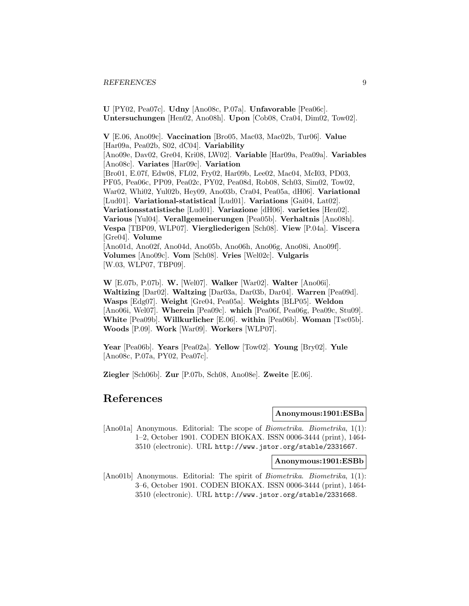**U** [PY02, Pea07c]. **Udny** [Ano08c, P.07a]. **Unfavorable** [Pea06c]. **Untersuchungen** [Hen02, Ano08h]. **Upon** [Cob08, Cra04, Dim02, Tow02].

**V** [E.06, Ano09c]. **Vaccination** [Bro05, Mac03, Mac02b, Tur06]. **Value** [Har09a, Pea02b, S02, dC04]. **Variability** [Ano09e, Dav02, Gre04, Kri08, LW02]. **Variable** [Har09a, Pea09a]. **Variables** [Ano08c]. **Variates** [Har09c]. **Variation** [Bro01, E.07f, Edw08, FL02, Fry02, Har09b, Lee02, Mac04, McI03, PD03, PF05, Pea06c, PP09, Pea02c, PY02, Pea08d, Rob08, Sch03, Sim02, Tow02, War02, Whi02, Yul02b, Hey09, Ano03b, Cra04, Pea05a, dH06]. **Variational** [Lud01]. **Variational-statistical** [Lud01]. **Variations** [Gai04, Lat02]. **Variationsstatistische** [Lud01]. **Variazione** [dH06]. **varieties** [Hen02]. **Various** [Yul04]. **Verallgemeinerungen** [Pea05b]. **Verhaltnis** [Ano08h]. **Vespa** [TBP09, WLP07]. **Viergliederigen** [Sch08]. **View** [P.04a]. **Viscera** [Gre04]. **Volume** [Ano01d, Ano02f, Ano04d, Ano05b, Ano06h, Ano06g, Ano08i, Ano09f]. **Volumes** [Ano09c]. **Vom** [Sch08]. **Vries** [Wel02c]. **Vulgaris** [W.03, WLP07, TBP09].

**W** [E.07b, P.07b]. **W.** [Wel07]. **Walker** [War02]. **Walter** [Ano06i]. **Waltizing** [Dar02]. **Waltzing** [Dar03a, Dar03b, Dar04]. **Warren** [Pea09d]. **Wasps** [Edg07]. **Weight** [Gre04, Pea05a]. **Weights** [BLP05]. **Weldon** [Ano06i, Wel07]. **Wherein** [Pea09c]. **which** [Pea06f, Pea06g, Pea09c, Stu09]. **White** [Pea09b]. **Willkurlicher** [E.06]. **within** [Pea06b]. **Woman** [Tsc05b]. **Woods** [P.09]. **Work** [War09]. **Workers** [WLP07].

**Year** [Pea06b]. **Years** [Pea02a]. **Yellow** [Tow02]. **Young** [Bry02]. **Yule** [Ano08c, P.07a, PY02, Pea07c].

**Ziegler** [Sch06b]. **Zur** [P.07b, Sch08, Ano08e]. **Zweite** [E.06].

## **References**

**Anonymous:1901:ESBa**

[Ano01a] Anonymous. Editorial: The scope of *Biometrika. Biometrika*, 1(1): 1–2, October 1901. CODEN BIOKAX. ISSN 0006-3444 (print), 1464- 3510 (electronic). URL http://www.jstor.org/stable/2331667.

**Anonymous:1901:ESBb**

[Ano01b] Anonymous. Editorial: The spirit of *Biometrika*. Biometrika, 1(1): 3–6, October 1901. CODEN BIOKAX. ISSN 0006-3444 (print), 1464- 3510 (electronic). URL http://www.jstor.org/stable/2331668.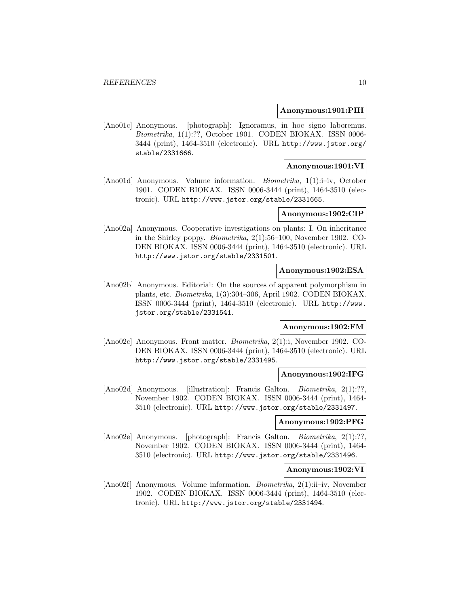#### **Anonymous:1901:PIH**

[Ano01c] Anonymous. [photograph]: Ignoramus, in hoc signo laboremus. Biometrika, 1(1):??, October 1901. CODEN BIOKAX. ISSN 0006- 3444 (print), 1464-3510 (electronic). URL http://www.jstor.org/ stable/2331666.

## **Anonymous:1901:VI**

[Ano01d] Anonymous. Volume information. Biometrika, 1(1):i–iv, October 1901. CODEN BIOKAX. ISSN 0006-3444 (print), 1464-3510 (electronic). URL http://www.jstor.org/stable/2331665.

### **Anonymous:1902:CIP**

[Ano02a] Anonymous. Cooperative investigations on plants: I. On inheritance in the Shirley poppy. Biometrika, 2(1):56–100, November 1902. CO-DEN BIOKAX. ISSN 0006-3444 (print), 1464-3510 (electronic). URL http://www.jstor.org/stable/2331501.

#### **Anonymous:1902:ESA**

[Ano02b] Anonymous. Editorial: On the sources of apparent polymorphism in plants, etc. Biometrika, 1(3):304–306, April 1902. CODEN BIOKAX. ISSN 0006-3444 (print), 1464-3510 (electronic). URL http://www. jstor.org/stable/2331541.

#### **Anonymous:1902:FM**

[Ano02c] Anonymous. Front matter. Biometrika, 2(1):i, November 1902. CO-DEN BIOKAX. ISSN 0006-3444 (print), 1464-3510 (electronic). URL http://www.jstor.org/stable/2331495.

#### **Anonymous:1902:IFG**

[Ano02d] Anonymous. [illustration]: Francis Galton. *Biometrika*, 2(1):??, November 1902. CODEN BIOKAX. ISSN 0006-3444 (print), 1464- 3510 (electronic). URL http://www.jstor.org/stable/2331497.

#### **Anonymous:1902:PFG**

[Ano02e] Anonymous. [photograph]: Francis Galton. Biometrika, 2(1):??, November 1902. CODEN BIOKAX. ISSN 0006-3444 (print), 1464- 3510 (electronic). URL http://www.jstor.org/stable/2331496.

## **Anonymous:1902:VI**

[Ano02f] Anonymous. Volume information. Biometrika, 2(1):ii–iv, November 1902. CODEN BIOKAX. ISSN 0006-3444 (print), 1464-3510 (electronic). URL http://www.jstor.org/stable/2331494.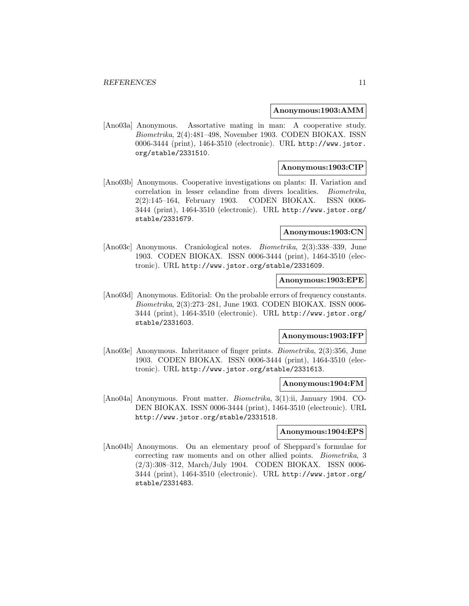#### **Anonymous:1903:AMM**

[Ano03a] Anonymous. Assortative mating in man: A cooperative study. Biometrika, 2(4):481–498, November 1903. CODEN BIOKAX. ISSN 0006-3444 (print), 1464-3510 (electronic). URL http://www.jstor. org/stable/2331510.

## **Anonymous:1903:CIP**

[Ano03b] Anonymous. Cooperative investigations on plants: II. Variation and correlation in lesser celandine from divers localities. Biometrika, 2(2):145–164, February 1903. CODEN BIOKAX. ISSN 0006- 3444 (print), 1464-3510 (electronic). URL http://www.jstor.org/ stable/2331679.

## **Anonymous:1903:CN**

[Ano03c] Anonymous. Craniological notes. Biometrika, 2(3):338–339, June 1903. CODEN BIOKAX. ISSN 0006-3444 (print), 1464-3510 (electronic). URL http://www.jstor.org/stable/2331609.

## **Anonymous:1903:EPE**

[Ano03d] Anonymous. Editorial: On the probable errors of frequency constants. Biometrika, 2(3):273–281, June 1903. CODEN BIOKAX. ISSN 0006- 3444 (print), 1464-3510 (electronic). URL http://www.jstor.org/ stable/2331603.

#### **Anonymous:1903:IFP**

[Ano03e] Anonymous. Inheritance of finger prints. Biometrika, 2(3):356, June 1903. CODEN BIOKAX. ISSN 0006-3444 (print), 1464-3510 (electronic). URL http://www.jstor.org/stable/2331613.

#### **Anonymous:1904:FM**

[Ano04a] Anonymous. Front matter. Biometrika, 3(1):ii, January 1904. CO-DEN BIOKAX. ISSN 0006-3444 (print), 1464-3510 (electronic). URL http://www.jstor.org/stable/2331518.

#### **Anonymous:1904:EPS**

[Ano04b] Anonymous. On an elementary proof of Sheppard's formulae for correcting raw moments and on other allied points. Biometrika, 3 (2/3):308–312, March/July 1904. CODEN BIOKAX. ISSN 0006- 3444 (print), 1464-3510 (electronic). URL http://www.jstor.org/ stable/2331483.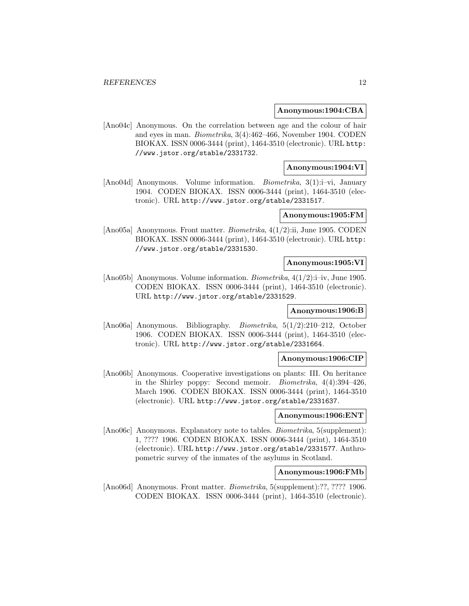#### **Anonymous:1904:CBA**

[Ano04c] Anonymous. On the correlation between age and the colour of hair and eyes in man. Biometrika, 3(4):462–466, November 1904. CODEN BIOKAX. ISSN 0006-3444 (print), 1464-3510 (electronic). URL http: //www.jstor.org/stable/2331732.

## **Anonymous:1904:VI**

[Ano04d] Anonymous. Volume information. Biometrika, 3(1):i–vi, January 1904. CODEN BIOKAX. ISSN 0006-3444 (print), 1464-3510 (electronic). URL http://www.jstor.org/stable/2331517.

#### **Anonymous:1905:FM**

[Ano05a] Anonymous. Front matter. Biometrika, 4(1/2):ii, June 1905. CODEN BIOKAX. ISSN 0006-3444 (print), 1464-3510 (electronic). URL http: //www.jstor.org/stable/2331530.

#### **Anonymous:1905:VI**

[Ano05b] Anonymous. Volume information. *Biometrika*,  $4(1/2)$ :i–iv, June 1905. CODEN BIOKAX. ISSN 0006-3444 (print), 1464-3510 (electronic). URL http://www.jstor.org/stable/2331529.

## **Anonymous:1906:B**

[Ano06a] Anonymous. Bibliography. Biometrika, 5(1/2):210–212, October 1906. CODEN BIOKAX. ISSN 0006-3444 (print), 1464-3510 (electronic). URL http://www.jstor.org/stable/2331664.

#### **Anonymous:1906:CIP**

[Ano06b] Anonymous. Cooperative investigations on plants: III. On heritance in the Shirley poppy: Second memoir. Biometrika, 4(4):394–426, March 1906. CODEN BIOKAX. ISSN 0006-3444 (print), 1464-3510 (electronic). URL http://www.jstor.org/stable/2331637.

## **Anonymous:1906:ENT**

[Ano06c] Anonymous. Explanatory note to tables. Biometrika, 5(supplement): 1, ???? 1906. CODEN BIOKAX. ISSN 0006-3444 (print), 1464-3510 (electronic). URL http://www.jstor.org/stable/2331577. Anthropometric survey of the inmates of the asylums in Scotland.

#### **Anonymous:1906:FMb**

[Ano06d] Anonymous. Front matter. *Biometrika*, 5(supplement):??, ???? 1906. CODEN BIOKAX. ISSN 0006-3444 (print), 1464-3510 (electronic).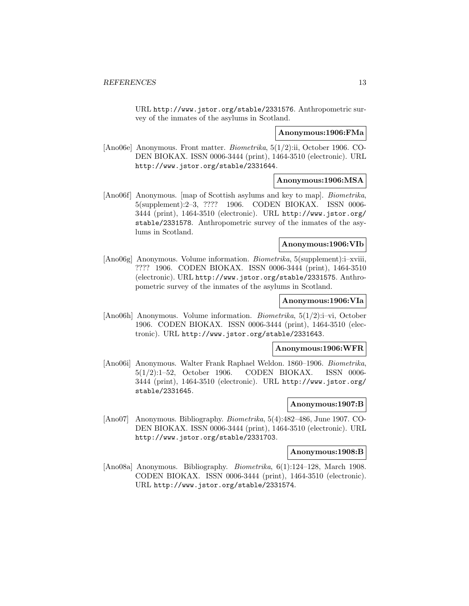URL http://www.jstor.org/stable/2331576. Anthropometric survey of the inmates of the asylums in Scotland.

#### **Anonymous:1906:FMa**

[Ano06e] Anonymous. Front matter. Biometrika, 5(1/2):ii, October 1906. CO-DEN BIOKAX. ISSN 0006-3444 (print), 1464-3510 (electronic). URL http://www.jstor.org/stable/2331644.

## **Anonymous:1906:MSA**

[Ano06f] Anonymous. [map of Scottish asylums and key to map]. Biometrika, 5(supplement):2–3, ???? 1906. CODEN BIOKAX. ISSN 0006- 3444 (print), 1464-3510 (electronic). URL http://www.jstor.org/ stable/2331578. Anthropometric survey of the inmates of the asylums in Scotland.

## **Anonymous:1906:VIb**

[Ano06g] Anonymous. Volume information. Biometrika, 5(supplement):i–xviii, ???? 1906. CODEN BIOKAX. ISSN 0006-3444 (print), 1464-3510 (electronic). URL http://www.jstor.org/stable/2331575. Anthropometric survey of the inmates of the asylums in Scotland.

### **Anonymous:1906:VIa**

[Ano06h] Anonymous. Volume information. Biometrika, 5(1/2):i–vi, October 1906. CODEN BIOKAX. ISSN 0006-3444 (print), 1464-3510 (electronic). URL http://www.jstor.org/stable/2331643.

### **Anonymous:1906:WFR**

[Ano06i] Anonymous. Walter Frank Raphael Weldon. 1860–1906. Biometrika, 5(1/2):1–52, October 1906. CODEN BIOKAX. ISSN 0006- 3444 (print), 1464-3510 (electronic). URL http://www.jstor.org/ stable/2331645.

## **Anonymous:1907:B**

[Ano07] Anonymous. Bibliography. Biometrika, 5(4):482–486, June 1907. CO-DEN BIOKAX. ISSN 0006-3444 (print), 1464-3510 (electronic). URL http://www.jstor.org/stable/2331703.

#### **Anonymous:1908:B**

[Ano08a] Anonymous. Bibliography. Biometrika, 6(1):124–128, March 1908. CODEN BIOKAX. ISSN 0006-3444 (print), 1464-3510 (electronic). URL http://www.jstor.org/stable/2331574.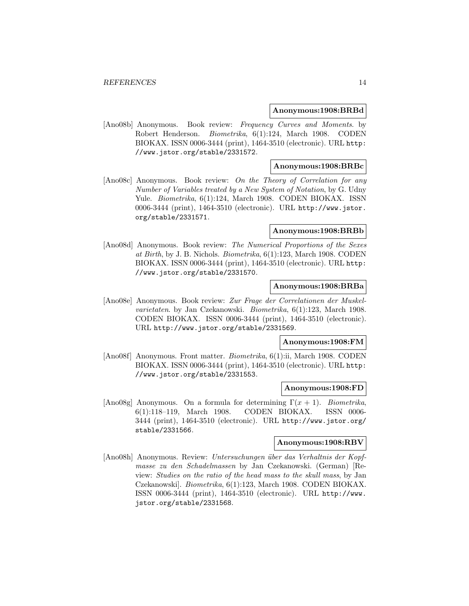#### **Anonymous:1908:BRBd**

[Ano08b] Anonymous. Book review: Frequency Curves and Moments. by Robert Henderson. Biometrika, 6(1):124, March 1908. CODEN BIOKAX. ISSN 0006-3444 (print), 1464-3510 (electronic). URL http: //www.jstor.org/stable/2331572.

#### **Anonymous:1908:BRBc**

[Ano08c] Anonymous. Book review: On the Theory of Correlation for any Number of Variables treated by a New System of Notation, by G. Udny Yule. Biometrika, 6(1):124, March 1908. CODEN BIOKAX. ISSN 0006-3444 (print), 1464-3510 (electronic). URL http://www.jstor. org/stable/2331571.

## **Anonymous:1908:BRBb**

[Ano08d] Anonymous. Book review: The Numerical Proportions of the Sexes at Birth, by J. B. Nichols. Biometrika, 6(1):123, March 1908. CODEN BIOKAX. ISSN 0006-3444 (print), 1464-3510 (electronic). URL http: //www.jstor.org/stable/2331570.

#### **Anonymous:1908:BRBa**

[Ano08e] Anonymous. Book review: Zur Frage der Correlationen der Muskelvarietaten. by Jan Czekanowski. Biometrika, 6(1):123, March 1908. CODEN BIOKAX. ISSN 0006-3444 (print), 1464-3510 (electronic). URL http://www.jstor.org/stable/2331569.

## **Anonymous:1908:FM**

[Ano08f] Anonymous. Front matter. Biometrika, 6(1):ii, March 1908. CODEN BIOKAX. ISSN 0006-3444 (print), 1464-3510 (electronic). URL http: //www.jstor.org/stable/2331553.

## **Anonymous:1908:FD**

[Ano08g] Anonymous. On a formula for determining  $\Gamma(x+1)$ . Biometrika, 6(1):118–119, March 1908. CODEN BIOKAX. ISSN 0006- 3444 (print), 1464-3510 (electronic). URL http://www.jstor.org/ stable/2331566.

## **Anonymous:1908:RBV**

[Ano08h] Anonymous. Review: Untersuchungen ¨uber das Verhaltnis der Kopfmasse zu den Schadelmassen by Jan Czekanowski. (German) [Review: Studies on the ratio of the head mass to the skull mass, by Jan Czekanowski]. Biometrika, 6(1):123, March 1908. CODEN BIOKAX. ISSN 0006-3444 (print), 1464-3510 (electronic). URL http://www. jstor.org/stable/2331568.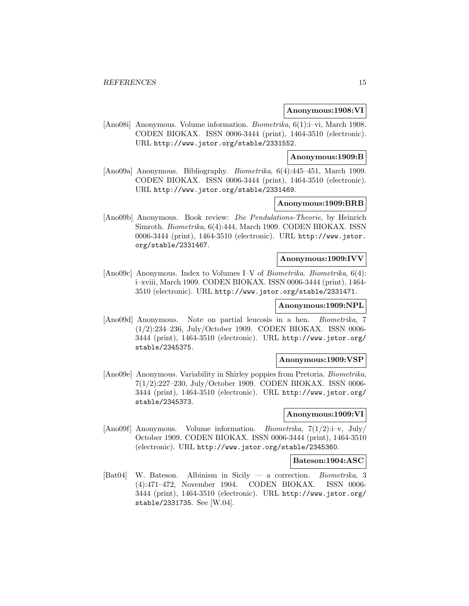#### **Anonymous:1908:VI**

[Ano08i] Anonymous. Volume information. Biometrika, 6(1):i–vi, March 1908. CODEN BIOKAX. ISSN 0006-3444 (print), 1464-3510 (electronic). URL http://www.jstor.org/stable/2331552.

#### **Anonymous:1909:B**

[Ano09a] Anonymous. Bibliography. Biometrika, 6(4):445–451, March 1909. CODEN BIOKAX. ISSN 0006-3444 (print), 1464-3510 (electronic). URL http://www.jstor.org/stable/2331469.

### **Anonymous:1909:BRB**

[Ano09b] Anonymous. Book review: Die Pendulations-Theorie, by Heinrich Simroth. Biometrika, 6(4):444, March 1909. CODEN BIOKAX. ISSN 0006-3444 (print), 1464-3510 (electronic). URL http://www.jstor. org/stable/2331467.

#### **Anonymous:1909:IVV**

[Ano09c] Anonymous. Index to Volumes I–V of Biometrika. Biometrika, 6(4): i–xviii, March 1909. CODEN BIOKAX. ISSN 0006-3444 (print), 1464- 3510 (electronic). URL http://www.jstor.org/stable/2331471.

## **Anonymous:1909:NPL**

[Ano09d] Anonymous. Note on partial leucosis in a hen. Biometrika, 7 (1/2):234–236, July/October 1909. CODEN BIOKAX. ISSN 0006- 3444 (print), 1464-3510 (electronic). URL http://www.jstor.org/ stable/2345375.

#### **Anonymous:1909:VSP**

[Ano09e] Anonymous. Variability in Shirley poppies from Pretoria. Biometrika, 7(1/2):227–230, July/October 1909. CODEN BIOKAX. ISSN 0006- 3444 (print), 1464-3510 (electronic). URL http://www.jstor.org/ stable/2345373.

## **Anonymous:1909:VI**

[Ano09f] Anonymous. Volume information. *Biometrika*,  $7(1/2)$ :i-v, July/ October 1909. CODEN BIOKAX. ISSN 0006-3444 (print), 1464-3510 (electronic). URL http://www.jstor.org/stable/2345360.

#### **Bateson:1904:ASC**

[Bat04] W. Bateson. Albinism in Sicily — a correction. Biometrika, 3 (4):471–472, November 1904. CODEN BIOKAX. ISSN 0006- 3444 (print), 1464-3510 (electronic). URL http://www.jstor.org/ stable/2331735. See [W.04].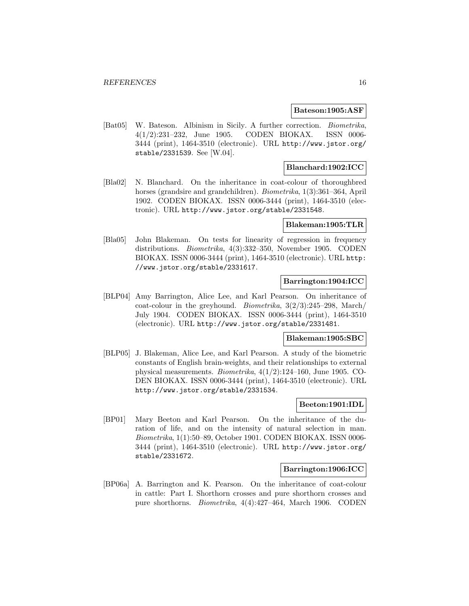#### **Bateson:1905:ASF**

[Bat05] W. Bateson. Albinism in Sicily. A further correction. Biometrika, 4(1/2):231–232, June 1905. CODEN BIOKAX. ISSN 0006- 3444 (print), 1464-3510 (electronic). URL http://www.jstor.org/ stable/2331539. See [W.04].

## **Blanchard:1902:ICC**

[Bla02] N. Blanchard. On the inheritance in coat-colour of thoroughbred horses (grandsire and grandchildren). *Biometrika*, 1(3):361–364, April 1902. CODEN BIOKAX. ISSN 0006-3444 (print), 1464-3510 (electronic). URL http://www.jstor.org/stable/2331548.

## **Blakeman:1905:TLR**

[Bla05] John Blakeman. On tests for linearity of regression in frequency distributions. Biometrika, 4(3):332–350, November 1905. CODEN BIOKAX. ISSN 0006-3444 (print), 1464-3510 (electronic). URL http: //www.jstor.org/stable/2331617.

## **Barrington:1904:ICC**

[BLP04] Amy Barrington, Alice Lee, and Karl Pearson. On inheritance of coat-colour in the greyhound. Biometrika,  $3(2/3)$ :245–298, March/ July 1904. CODEN BIOKAX. ISSN 0006-3444 (print), 1464-3510 (electronic). URL http://www.jstor.org/stable/2331481.

#### **Blakeman:1905:SBC**

[BLP05] J. Blakeman, Alice Lee, and Karl Pearson. A study of the biometric constants of English brain-weights, and their relationships to external physical measurements. Biometrika, 4(1/2):124–160, June 1905. CO-DEN BIOKAX. ISSN 0006-3444 (print), 1464-3510 (electronic). URL http://www.jstor.org/stable/2331534.

## **Beeton:1901:IDL**

[BP01] Mary Beeton and Karl Pearson. On the inheritance of the duration of life, and on the intensity of natural selection in man. Biometrika, 1(1):50–89, October 1901. CODEN BIOKAX. ISSN 0006- 3444 (print), 1464-3510 (electronic). URL http://www.jstor.org/ stable/2331672.

## **Barrington:1906:ICC**

[BP06a] A. Barrington and K. Pearson. On the inheritance of coat-colour in cattle: Part I. Shorthorn crosses and pure shorthorn crosses and pure shorthorns. Biometrika, 4(4):427–464, March 1906. CODEN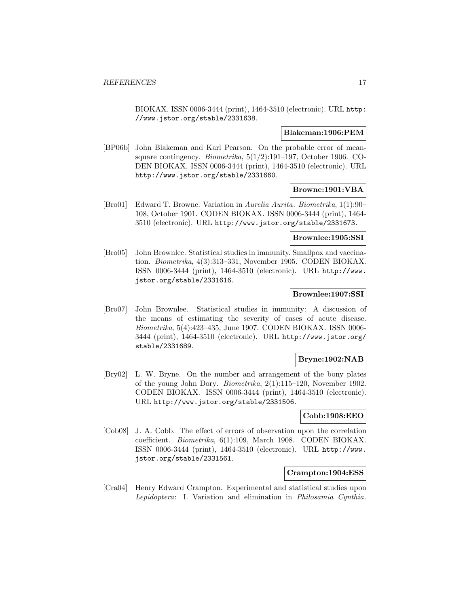BIOKAX. ISSN 0006-3444 (print), 1464-3510 (electronic). URL http: //www.jstor.org/stable/2331638.

#### **Blakeman:1906:PEM**

[BP06b] John Blakeman and Karl Pearson. On the probable error of meansquare contingency. Biometrika, 5(1/2):191–197, October 1906. CO-DEN BIOKAX. ISSN 0006-3444 (print), 1464-3510 (electronic). URL http://www.jstor.org/stable/2331660.

### **Browne:1901:VBA**

[Bro01] Edward T. Browne. Variation in Aurelia Aurita. Biometrika, 1(1):90– 108, October 1901. CODEN BIOKAX. ISSN 0006-3444 (print), 1464- 3510 (electronic). URL http://www.jstor.org/stable/2331673.

## **Brownlee:1905:SSI**

[Bro05] John Brownlee. Statistical studies in immunity. Smallpox and vaccination. Biometrika, 4(3):313–331, November 1905. CODEN BIOKAX. ISSN 0006-3444 (print), 1464-3510 (electronic). URL http://www. jstor.org/stable/2331616.

## **Brownlee:1907:SSI**

[Bro07] John Brownlee. Statistical studies in immunity: A discussion of the means of estimating the severity of cases of acute disease. Biometrika, 5(4):423–435, June 1907. CODEN BIOKAX. ISSN 0006- 3444 (print), 1464-3510 (electronic). URL http://www.jstor.org/ stable/2331689.

## **Bryne:1902:NAB**

[Bry02] L. W. Bryne. On the number and arrangement of the bony plates of the young John Dory. Biometrika, 2(1):115–120, November 1902. CODEN BIOKAX. ISSN 0006-3444 (print), 1464-3510 (electronic). URL http://www.jstor.org/stable/2331506.

### **Cobb:1908:EEO**

[Cob08] J. A. Cobb. The effect of errors of observation upon the correlation coefficient. Biometrika, 6(1):109, March 1908. CODEN BIOKAX. ISSN 0006-3444 (print), 1464-3510 (electronic). URL http://www. jstor.org/stable/2331561.

### **Crampton:1904:ESS**

[Cra04] Henry Edward Crampton. Experimental and statistical studies upon Lepidoptera: I. Variation and elimination in Philosamia Cynthia.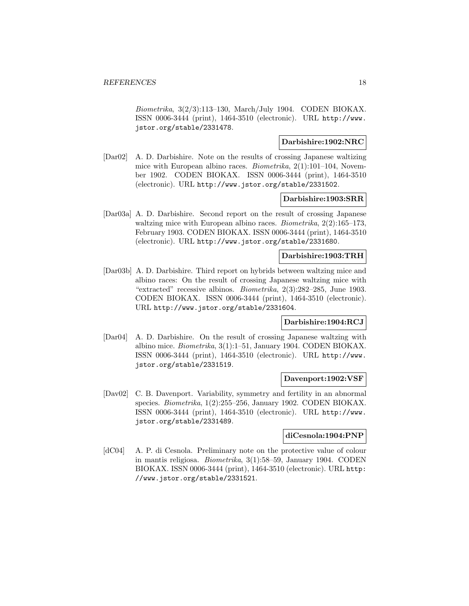Biometrika, 3(2/3):113–130, March/July 1904. CODEN BIOKAX. ISSN 0006-3444 (print), 1464-3510 (electronic). URL http://www. jstor.org/stable/2331478.

## **Darbishire:1902:NRC**

[Dar02] A. D. Darbishire. Note on the results of crossing Japanese waltizing mice with European albino races. Biometrika, 2(1):101–104, November 1902. CODEN BIOKAX. ISSN 0006-3444 (print), 1464-3510 (electronic). URL http://www.jstor.org/stable/2331502.

#### **Darbishire:1903:SRR**

[Dar03a] A. D. Darbishire. Second report on the result of crossing Japanese waltzing mice with European albino races. *Biometrika*,  $2(2):165-173$ , February 1903. CODEN BIOKAX. ISSN 0006-3444 (print), 1464-3510 (electronic). URL http://www.jstor.org/stable/2331680.

## **Darbishire:1903:TRH**

[Dar03b] A. D. Darbishire. Third report on hybrids between waltzing mice and albino races: On the result of crossing Japanese waltzing mice with "extracted" recessive albinos. Biometrika, 2(3):282–285, June 1903. CODEN BIOKAX. ISSN 0006-3444 (print), 1464-3510 (electronic). URL http://www.jstor.org/stable/2331604.

## **Darbishire:1904:RCJ**

[Dar04] A. D. Darbishire. On the result of crossing Japanese waltzing with albino mice. Biometrika, 3(1):1–51, January 1904. CODEN BIOKAX. ISSN 0006-3444 (print), 1464-3510 (electronic). URL http://www. jstor.org/stable/2331519.

### **Davenport:1902:VSF**

[Dav02] C. B. Davenport. Variability, symmetry and fertility in an abnormal species. Biometrika, 1(2):255–256, January 1902. CODEN BIOKAX. ISSN 0006-3444 (print), 1464-3510 (electronic). URL http://www. jstor.org/stable/2331489.

#### **diCesnola:1904:PNP**

[dC04] A. P. di Cesnola. Preliminary note on the protective value of colour in mantis religiosa. Biometrika, 3(1):58–59, January 1904. CODEN BIOKAX. ISSN 0006-3444 (print), 1464-3510 (electronic). URL http: //www.jstor.org/stable/2331521.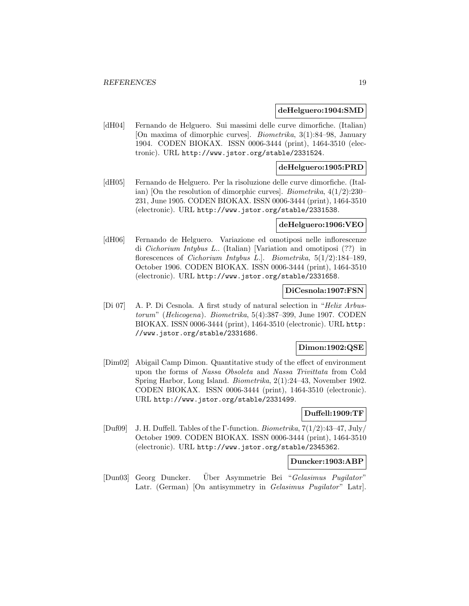#### **deHelguero:1904:SMD**

[dH04] Fernando de Helguero. Sui massimi delle curve dimorfiche. (Italian) [On maxima of dimorphic curves]. Biometrika, 3(1):84–98, January 1904. CODEN BIOKAX. ISSN 0006-3444 (print), 1464-3510 (electronic). URL http://www.jstor.org/stable/2331524.

## **deHelguero:1905:PRD**

[dH05] Fernando de Helguero. Per la risoluzione delle curve dimorfiche. (Italian) [On the resolution of dimorphic curves]. *Biometrika*,  $4(1/2)$ :230– 231, June 1905. CODEN BIOKAX. ISSN 0006-3444 (print), 1464-3510 (electronic). URL http://www.jstor.org/stable/2331538.

#### **deHelguero:1906:VEO**

[dH06] Fernando de Helguero. Variazione ed omotiposi nelle inflorescenze di Cichorium Intybus L.. (Italian) [Variation and omotiposi (??) in florescences of *Cichorium Intybus L.*]. *Biometrika*,  $5(1/2)$ :184–189, October 1906. CODEN BIOKAX. ISSN 0006-3444 (print), 1464-3510 (electronic). URL http://www.jstor.org/stable/2331658.

#### **DiCesnola:1907:FSN**

[Di 07] A. P. Di Cesnola. A first study of natural selection in "Helix Arbustorum" (Helicogena). Biometrika, 5(4):387–399, June 1907. CODEN BIOKAX. ISSN 0006-3444 (print), 1464-3510 (electronic). URL http: //www.jstor.org/stable/2331686.

#### **Dimon:1902:QSE**

[Dim02] Abigail Camp Dimon. Quantitative study of the effect of environment upon the forms of Nassa Obsoleta and Nassa Trivittata from Cold Spring Harbor, Long Island. Biometrika, 2(1):24–43, November 1902. CODEN BIOKAX. ISSN 0006-3444 (print), 1464-3510 (electronic). URL http://www.jstor.org/stable/2331499.

## **Duffell:1909:TF**

[Duf09] J. H. Duffell. Tables of the Γ-function. Biometrika, 7(1/2):43–47, July/ October 1909. CODEN BIOKAX. ISSN 0006-3444 (print), 1464-3510 (electronic). URL http://www.jstor.org/stable/2345362.

#### **Duncker:1903:ABP**

[Dun03] Georg Duncker. Uber Asymmetrie Bei " Gelasimus Pugilator" Latr. (German) [On antisymmetry in Gelasimus Pugilator" Latr].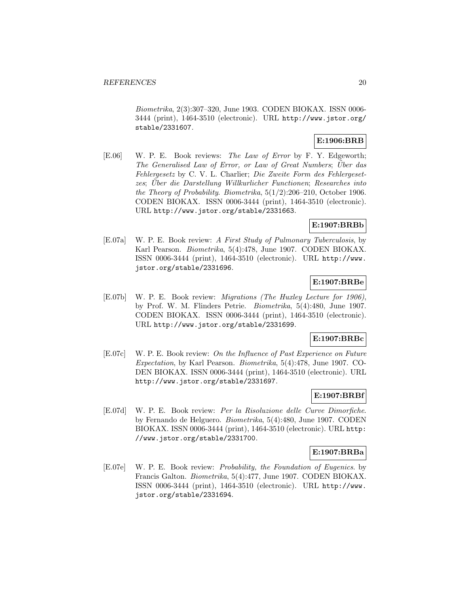Biometrika, 2(3):307–320, June 1903. CODEN BIOKAX. ISSN 0006- 3444 (print), 1464-3510 (electronic). URL http://www.jstor.org/ stable/2331607.

## **E:1906:BRB**

[E.06] W. P. E. Book reviews: The Law of Error by F. Y. Edgeworth; The Generalised Law of Error, or Law of Great Numbers; Uber das Fehlergesetz by C. V. L. Charlier; Die Zweite Form des Fehlergesetzes; Uber die Darstellung Willkurlicher Functionen; Researches into the Theory of Probability. Biometrika,  $5(1/2)$ :206-210, October 1906. CODEN BIOKAX. ISSN 0006-3444 (print), 1464-3510 (electronic). URL http://www.jstor.org/stable/2331663.

## **E:1907:BRBb**

[E.07a] W. P. E. Book review: A First Study of Pulmonary Tuberculosis, by Karl Pearson. Biometrika, 5(4):478, June 1907. CODEN BIOKAX. ISSN 0006-3444 (print), 1464-3510 (electronic). URL http://www. jstor.org/stable/2331696.

## **E:1907:BRBe**

[E.07b] W. P. E. Book review: Migrations (The Huxley Lecture for 1906), by Prof. W. M. Flinders Petrie. Biometrika, 5(4):480, June 1907. CODEN BIOKAX. ISSN 0006-3444 (print), 1464-3510 (electronic). URL http://www.jstor.org/stable/2331699.

## **E:1907:BRBc**

[E.07c] W. P. E. Book review: On the Influence of Past Experience on Future Expectation, by Karl Pearson. Biometrika, 5(4):478, June 1907. CO-DEN BIOKAX. ISSN 0006-3444 (print), 1464-3510 (electronic). URL http://www.jstor.org/stable/2331697.

## **E:1907:BRBf**

[E.07d] W. P. E. Book review: Per la Risoluzione delle Curve Dimorfiche. by Fernando de Helguero. Biometrika, 5(4):480, June 1907. CODEN BIOKAX. ISSN 0006-3444 (print), 1464-3510 (electronic). URL http: //www.jstor.org/stable/2331700.

## **E:1907:BRBa**

[E.07e] W. P. E. Book review: Probability, the Foundation of Eugenics. by Francis Galton. Biometrika, 5(4):477, June 1907. CODEN BIOKAX. ISSN 0006-3444 (print), 1464-3510 (electronic). URL http://www. jstor.org/stable/2331694.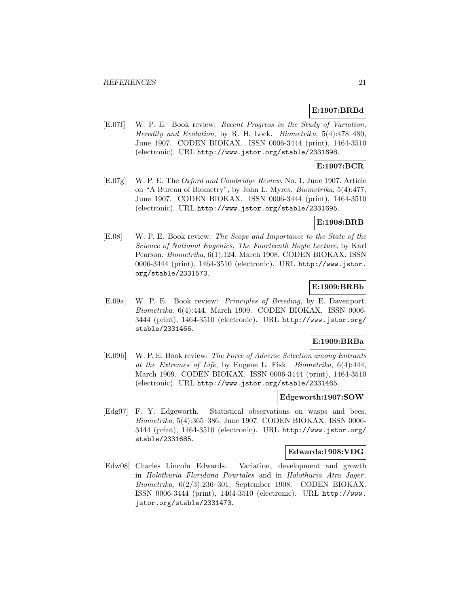## **E:1907:BRBd**

[E.07f] W. P. E. Book review: Recent Progress in the Study of Variation, Heredity and Evolution, by R. H. Lock. Biometrika, 5(4):478–480, June 1907. CODEN BIOKAX. ISSN 0006-3444 (print), 1464-3510 (electronic). URL http://www.jstor.org/stable/2331698.

## **E:1907:BCR**

[E.07g] W. P. E. The Oxford and Cambridge Review, No. 1, June 1907. Article on "A Bureau of Biometry", by John L. Myres. Biometrika, 5(4):477, June 1907. CODEN BIOKAX. ISSN 0006-3444 (print), 1464-3510 (electronic). URL http://www.jstor.org/stable/2331695.

## **E:1908:BRB**

[E.08] W. P. E. Book review: The Scope and Importance to the State of the Science of National Eugenics. The Fourteenth Boyle Lecture, by Karl Pearson. Biometrika, 6(1):124, March 1908. CODEN BIOKAX. ISSN 0006-3444 (print), 1464-3510 (electronic). URL http://www.jstor. org/stable/2331573.

## **E:1909:BRBb**

[E.09a] W. P. E. Book review: Principles of Breeding, by E. Davenport. Biometrika, 6(4):444, March 1909. CODEN BIOKAX. ISSN 0006- 3444 (print), 1464-3510 (electronic). URL http://www.jstor.org/ stable/2331466.

## **E:1909:BRBa**

[E.09b] W. P. E. Book review: The Force of Adverse Selection among Entrants at the Extremes of Life, by Eugene L. Fisk. Biometrika, 6(4):444, March 1909. CODEN BIOKAX. ISSN 0006-3444 (print), 1464-3510 (electronic). URL http://www.jstor.org/stable/2331465.

### **Edgeworth:1907:SOW**

[Edg07] F. Y. Edgeworth. Statistical observations on wasps and bees. Biometrika, 5(4):365–386, June 1907. CODEN BIOKAX. ISSN 0006- 3444 (print), 1464-3510 (electronic). URL http://www.jstor.org/ stable/2331685.

#### **Edwards:1908:VDG**

[Edw08] Charles Lincoln Edwards. Variation, development and growth in Holothuria Floridana Pourtales and in Holothuria Atra Jager. Biometrika, 6(2/3):236–301, September 1908. CODEN BIOKAX. ISSN 0006-3444 (print), 1464-3510 (electronic). URL http://www. jstor.org/stable/2331473.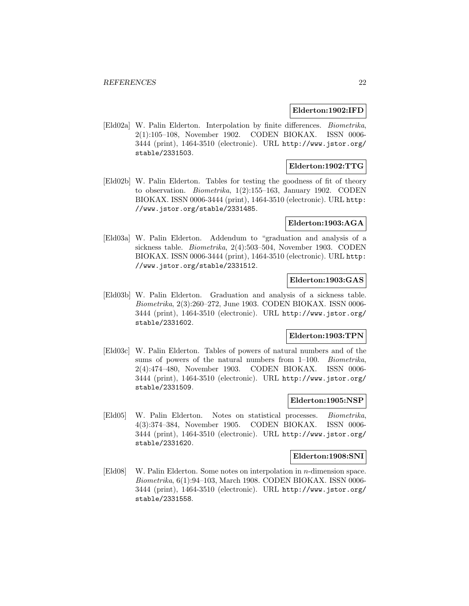### **Elderton:1902:IFD**

[Eld02a] W. Palin Elderton. Interpolation by finite differences. Biometrika, 2(1):105–108, November 1902. CODEN BIOKAX. ISSN 0006- 3444 (print), 1464-3510 (electronic). URL http://www.jstor.org/ stable/2331503.

## **Elderton:1902:TTG**

[Eld02b] W. Palin Elderton. Tables for testing the goodness of fit of theory to observation. Biometrika, 1(2):155–163, January 1902. CODEN BIOKAX. ISSN 0006-3444 (print), 1464-3510 (electronic). URL http: //www.jstor.org/stable/2331485.

## **Elderton:1903:AGA**

[Eld03a] W. Palin Elderton. Addendum to "graduation and analysis of a sickness table. Biometrika, 2(4):503–504, November 1903. CODEN BIOKAX. ISSN 0006-3444 (print), 1464-3510 (electronic). URL http: //www.jstor.org/stable/2331512.

## **Elderton:1903:GAS**

[Eld03b] W. Palin Elderton. Graduation and analysis of a sickness table. Biometrika, 2(3):260–272, June 1903. CODEN BIOKAX. ISSN 0006- 3444 (print), 1464-3510 (electronic). URL http://www.jstor.org/ stable/2331602.

## **Elderton:1903:TPN**

[Eld03c] W. Palin Elderton. Tables of powers of natural numbers and of the sums of powers of the natural numbers from 1–100. *Biometrika*, 2(4):474–480, November 1903. CODEN BIOKAX. ISSN 0006- 3444 (print), 1464-3510 (electronic). URL http://www.jstor.org/ stable/2331509.

#### **Elderton:1905:NSP**

[Eld05] W. Palin Elderton. Notes on statistical processes. Biometrika, 4(3):374–384, November 1905. CODEN BIOKAX. ISSN 0006- 3444 (print), 1464-3510 (electronic). URL http://www.jstor.org/ stable/2331620.

#### **Elderton:1908:SNI**

[Eld08] W. Palin Elderton. Some notes on interpolation in n-dimension space. Biometrika, 6(1):94–103, March 1908. CODEN BIOKAX. ISSN 0006- 3444 (print), 1464-3510 (electronic). URL http://www.jstor.org/ stable/2331558.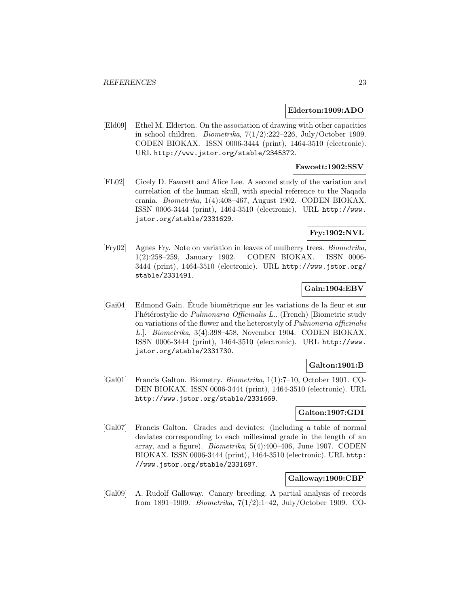#### **Elderton:1909:ADO**

[Eld09] Ethel M. Elderton. On the association of drawing with other capacities in school children. *Biometrika*,  $7(1/2)$ :222–226, July/October 1909. CODEN BIOKAX. ISSN 0006-3444 (print), 1464-3510 (electronic). URL http://www.jstor.org/stable/2345372.

## **Fawcett:1902:SSV**

[FL02] Cicely D. Fawcett and Alice Lee. A second study of the variation and correlation of the human skull, with special reference to the Naqada crania. Biometrika, 1(4):408–467, August 1902. CODEN BIOKAX. ISSN 0006-3444 (print), 1464-3510 (electronic). URL http://www. jstor.org/stable/2331629.

## **Fry:1902:NVL**

[Fry02] Agnes Fry. Note on variation in leaves of mulberry trees. Biometrika, 1(2):258–259, January 1902. CODEN BIOKAX. ISSN 0006- 3444 (print), 1464-3510 (electronic). URL http://www.jstor.org/ stable/2331491.

### **Gain:1904:EBV**

[Gai04] Edmond Gain. Etude biométrique sur les variations de la fleur et sur l'hétérostylie de Pulmonaria Officinalis L.. (French) [Biometric study on variations of the flower and the heterostyly of Pulmonaria officinalis L.]. Biometrika, 3(4):398–458, November 1904. CODEN BIOKAX. ISSN 0006-3444 (print), 1464-3510 (electronic). URL http://www. jstor.org/stable/2331730.

## **Galton:1901:B**

[Gal01] Francis Galton. Biometry. Biometrika, 1(1):7–10, October 1901. CO-DEN BIOKAX. ISSN 0006-3444 (print), 1464-3510 (electronic). URL http://www.jstor.org/stable/2331669.

## **Galton:1907:GDI**

[Gal07] Francis Galton. Grades and deviates: (including a table of normal deviates corresponding to each millesimal grade in the length of an array, and a figure). Biometrika, 5(4):400–406, June 1907. CODEN BIOKAX. ISSN 0006-3444 (print), 1464-3510 (electronic). URL http: //www.jstor.org/stable/2331687.

#### **Galloway:1909:CBP**

[Gal09] A. Rudolf Galloway. Canary breeding. A partial analysis of records from 1891–1909. *Biometrika*,  $7(1/2)!$ –42, July/October 1909. CO-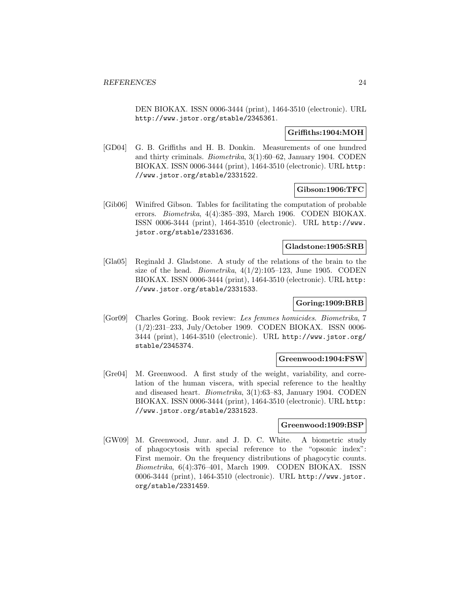DEN BIOKAX. ISSN 0006-3444 (print), 1464-3510 (electronic). URL http://www.jstor.org/stable/2345361.

## **Griffiths:1904:MOH**

[GD04] G. B. Griffiths and H. B. Donkin. Measurements of one hundred and thirty criminals. Biometrika, 3(1):60–62, January 1904. CODEN BIOKAX. ISSN 0006-3444 (print), 1464-3510 (electronic). URL http: //www.jstor.org/stable/2331522.

## **Gibson:1906:TFC**

[Gib06] Winifred Gibson. Tables for facilitating the computation of probable errors. Biometrika, 4(4):385–393, March 1906. CODEN BIOKAX. ISSN 0006-3444 (print), 1464-3510 (electronic). URL http://www. jstor.org/stable/2331636.

### **Gladstone:1905:SRB**

[Gla05] Reginald J. Gladstone. A study of the relations of the brain to the size of the head. *Biometrika*,  $4(1/2):105-123$ , June 1905. CODEN BIOKAX. ISSN 0006-3444 (print), 1464-3510 (electronic). URL http: //www.jstor.org/stable/2331533.

## **Goring:1909:BRB**

[Gor09] Charles Goring. Book review: Les femmes homicides. Biometrika, 7 (1/2):231–233, July/October 1909. CODEN BIOKAX. ISSN 0006- 3444 (print), 1464-3510 (electronic). URL http://www.jstor.org/ stable/2345374.

#### **Greenwood:1904:FSW**

[Gre04] M. Greenwood. A first study of the weight, variability, and correlation of the human viscera, with special reference to the healthy and diseased heart. Biometrika, 3(1):63–83, January 1904. CODEN BIOKAX. ISSN 0006-3444 (print), 1464-3510 (electronic). URL http: //www.jstor.org/stable/2331523.

## **Greenwood:1909:BSP**

[GW09] M. Greenwood, Junr. and J. D. C. White. A biometric study of phagocytosis with special reference to the "opsonic index": First memoir. On the frequency distributions of phagocytic counts. Biometrika, 6(4):376–401, March 1909. CODEN BIOKAX. ISSN 0006-3444 (print), 1464-3510 (electronic). URL http://www.jstor. org/stable/2331459.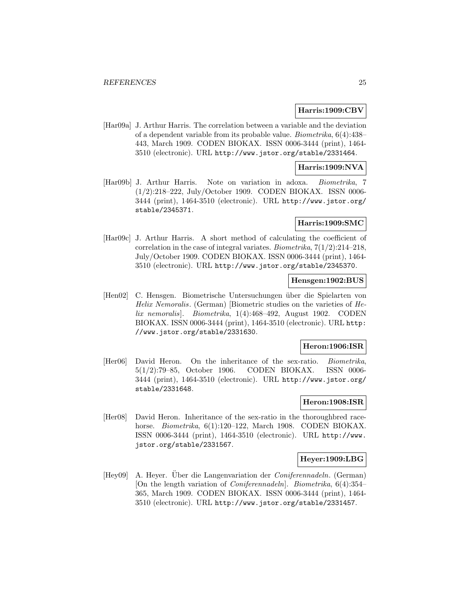#### **Harris:1909:CBV**

[Har09a] J. Arthur Harris. The correlation between a variable and the deviation of a dependent variable from its probable value. Biometrika, 6(4):438– 443, March 1909. CODEN BIOKAX. ISSN 0006-3444 (print), 1464- 3510 (electronic). URL http://www.jstor.org/stable/2331464.

## **Harris:1909:NVA**

[Har09b] J. Arthur Harris. Note on variation in adoxa. Biometrika, 7 (1/2):218–222, July/October 1909. CODEN BIOKAX. ISSN 0006- 3444 (print), 1464-3510 (electronic). URL http://www.jstor.org/ stable/2345371.

### **Harris:1909:SMC**

[Har09c] J. Arthur Harris. A short method of calculating the coefficient of correlation in the case of integral variates. Biometrika,  $7(1/2)$ :214–218, July/October 1909. CODEN BIOKAX. ISSN 0006-3444 (print), 1464- 3510 (electronic). URL http://www.jstor.org/stable/2345370.

## **Hensgen:1902:BUS**

[Hen02] C. Hensgen. Biometrische Untersuchungen über die Spielarten von Helix Nemoralis. (German) [Biometric studies on the varieties of Helix nemoralis]. Biometrika, 1(4):468–492, August 1902. CODEN BIOKAX. ISSN 0006-3444 (print), 1464-3510 (electronic). URL http: //www.jstor.org/stable/2331630.

#### **Heron:1906:ISR**

[Her06] David Heron. On the inheritance of the sex-ratio. Biometrika, 5(1/2):79–85, October 1906. CODEN BIOKAX. ISSN 0006- 3444 (print), 1464-3510 (electronic). URL http://www.jstor.org/ stable/2331648.

#### **Heron:1908:ISR**

[Her08] David Heron. Inheritance of the sex-ratio in the thoroughbred racehorse. *Biometrika*, 6(1):120–122, March 1908. CODEN BIOKAX. ISSN 0006-3444 (print), 1464-3510 (electronic). URL http://www. jstor.org/stable/2331567.

## **Heyer:1909:LBG**

[Hey09] A. Heyer. Über die Langenvariation der *Coniferennadeln*. (German) [On the length variation of Coniferennadeln]. Biometrika, 6(4):354– 365, March 1909. CODEN BIOKAX. ISSN 0006-3444 (print), 1464- 3510 (electronic). URL http://www.jstor.org/stable/2331457.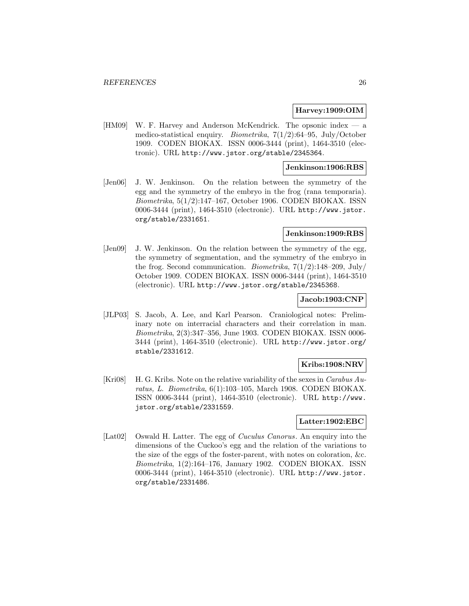### **Harvey:1909:OIM**

[HM09] W. F. Harvey and Anderson McKendrick. The opsonic index — a medico-statistical enquiry. Biometrika, 7(1/2):64–95, July/October 1909. CODEN BIOKAX. ISSN 0006-3444 (print), 1464-3510 (electronic). URL http://www.jstor.org/stable/2345364.

## **Jenkinson:1906:RBS**

[Jen06] J. W. Jenkinson. On the relation between the symmetry of the egg and the symmetry of the embryo in the frog (rana temporaria). Biometrika, 5(1/2):147–167, October 1906. CODEN BIOKAX. ISSN 0006-3444 (print), 1464-3510 (electronic). URL http://www.jstor. org/stable/2331651.

#### **Jenkinson:1909:RBS**

[Jen09] J. W. Jenkinson. On the relation between the symmetry of the egg, the symmetry of segmentation, and the symmetry of the embryo in the frog. Second communication. *Biometrika*,  $7(1/2)$ :148–209, July/ October 1909. CODEN BIOKAX. ISSN 0006-3444 (print), 1464-3510 (electronic). URL http://www.jstor.org/stable/2345368.

#### **Jacob:1903:CNP**

[JLP03] S. Jacob, A. Lee, and Karl Pearson. Craniological notes: Preliminary note on interracial characters and their correlation in man. Biometrika, 2(3):347–356, June 1903. CODEN BIOKAX. ISSN 0006- 3444 (print), 1464-3510 (electronic). URL http://www.jstor.org/ stable/2331612.

## **Kribs:1908:NRV**

[Kri08] H. G. Kribs. Note on the relative variability of the sexes in Carabus Auratus, L. Biometrika, 6(1):103–105, March 1908. CODEN BIOKAX. ISSN 0006-3444 (print), 1464-3510 (electronic). URL http://www. jstor.org/stable/2331559.

#### **Latter:1902:EBC**

[Lat02] Oswald H. Latter. The egg of Cuculus Canorus. An enquiry into the dimensions of the Cuckoo's egg and the relation of the variations to the size of the eggs of the foster-parent, with notes on coloration, &c. Biometrika, 1(2):164–176, January 1902. CODEN BIOKAX. ISSN 0006-3444 (print), 1464-3510 (electronic). URL http://www.jstor. org/stable/2331486.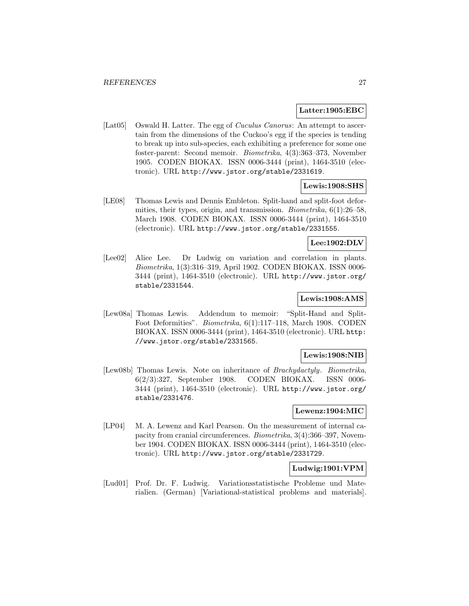#### **Latter:1905:EBC**

[Lat05] Oswald H. Latter. The egg of *Cuculus Canorus*: An attempt to ascertain from the dimensions of the Cuckoo's egg if the species is tending to break up into sub-species, each exhibiting a preference for some one foster-parent: Second memoir. Biometrika, 4(3):363–373, November 1905. CODEN BIOKAX. ISSN 0006-3444 (print), 1464-3510 (electronic). URL http://www.jstor.org/stable/2331619.

## **Lewis:1908:SHS**

[LE08] Thomas Lewis and Dennis Embleton. Split-hand and split-foot deformities, their types, origin, and transmission. Biometrika, 6(1):26–58, March 1908. CODEN BIOKAX. ISSN 0006-3444 (print), 1464-3510 (electronic). URL http://www.jstor.org/stable/2331555.

## **Lee:1902:DLV**

[Lee02] Alice Lee. Dr Ludwig on variation and correlation in plants. Biometrika, 1(3):316–319, April 1902. CODEN BIOKAX. ISSN 0006- 3444 (print), 1464-3510 (electronic). URL http://www.jstor.org/ stable/2331544.

## **Lewis:1908:AMS**

[Lew08a] Thomas Lewis. Addendum to memoir: "Split-Hand and Split-Foot Deformities". Biometrika, 6(1):117–118, March 1908. CODEN BIOKAX. ISSN 0006-3444 (print), 1464-3510 (electronic). URL http: //www.jstor.org/stable/2331565.

## **Lewis:1908:NIB**

[Lew08b] Thomas Lewis. Note on inheritance of Brachydactyly. Biometrika, 6(2/3):327, September 1908. CODEN BIOKAX. ISSN 0006- 3444 (print), 1464-3510 (electronic). URL http://www.jstor.org/ stable/2331476.

## **Lewenz:1904:MIC**

[LP04] M. A. Lewenz and Karl Pearson. On the measurement of internal capacity from cranial circumferences. Biometrika, 3(4):366–397, November 1904. CODEN BIOKAX. ISSN 0006-3444 (print), 1464-3510 (electronic). URL http://www.jstor.org/stable/2331729.

#### **Ludwig:1901:VPM**

[Lud01] Prof. Dr. F. Ludwig. Variationsstatistische Probleme und Materialien. (German) [Variational-statistical problems and materials].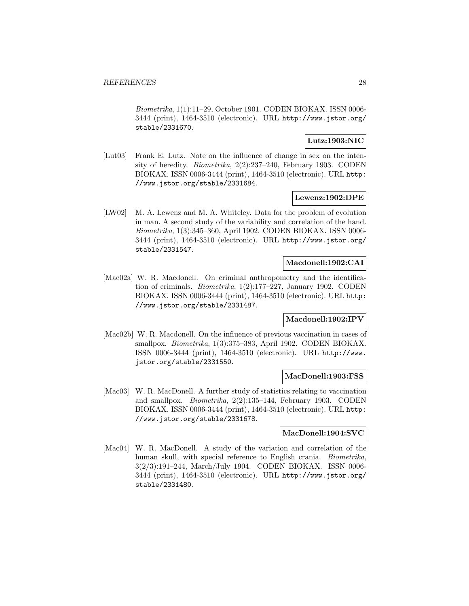Biometrika, 1(1):11–29, October 1901. CODEN BIOKAX. ISSN 0006- 3444 (print), 1464-3510 (electronic). URL http://www.jstor.org/ stable/2331670.

## **Lutz:1903:NIC**

[Lut03] Frank E. Lutz. Note on the influence of change in sex on the intensity of heredity. Biometrika, 2(2):237–240, February 1903. CODEN BIOKAX. ISSN 0006-3444 (print), 1464-3510 (electronic). URL http: //www.jstor.org/stable/2331684.

## **Lewenz:1902:DPE**

[LW02] M. A. Lewenz and M. A. Whiteley. Data for the problem of evolution in man. A second study of the variability and correlation of the hand. Biometrika, 1(3):345–360, April 1902. CODEN BIOKAX. ISSN 0006- 3444 (print), 1464-3510 (electronic). URL http://www.jstor.org/ stable/2331547.

## **Macdonell:1902:CAI**

[Mac02a] W. R. Macdonell. On criminal anthropometry and the identification of criminals. Biometrika, 1(2):177–227, January 1902. CODEN BIOKAX. ISSN 0006-3444 (print), 1464-3510 (electronic). URL http: //www.jstor.org/stable/2331487.

## **Macdonell:1902:IPV**

[Mac02b] W. R. Macdonell. On the influence of previous vaccination in cases of smallpox. Biometrika, 1(3):375–383, April 1902. CODEN BIOKAX. ISSN 0006-3444 (print), 1464-3510 (electronic). URL http://www. jstor.org/stable/2331550.

#### **MacDonell:1903:FSS**

[Mac03] W. R. MacDonell. A further study of statistics relating to vaccination and smallpox. Biometrika, 2(2):135–144, February 1903. CODEN BIOKAX. ISSN 0006-3444 (print), 1464-3510 (electronic). URL http: //www.jstor.org/stable/2331678.

## **MacDonell:1904:SVC**

[Mac04] W. R. MacDonell. A study of the variation and correlation of the human skull, with special reference to English crania. Biometrika, 3(2/3):191–244, March/July 1904. CODEN BIOKAX. ISSN 0006- 3444 (print), 1464-3510 (electronic). URL http://www.jstor.org/ stable/2331480.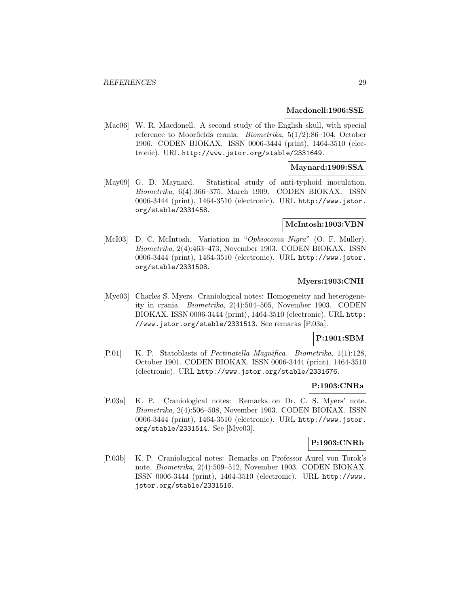#### **Macdonell:1906:SSE**

[Mac06] W. R. Macdonell. A second study of the English skull, with special reference to Moorfields crania. Biometrika, 5(1/2):86–104, October 1906. CODEN BIOKAX. ISSN 0006-3444 (print), 1464-3510 (electronic). URL http://www.jstor.org/stable/2331649.

## **Maynard:1909:SSA**

[May09] G. D. Maynard. Statistical study of anti-typhoid inoculation. Biometrika, 6(4):366–375, March 1909. CODEN BIOKAX. ISSN 0006-3444 (print), 1464-3510 (electronic). URL http://www.jstor. org/stable/2331458.

#### **McIntosh:1903:VBN**

[McI03] D. C. McIntosh. Variation in "Ophiocoma Nigra" (O. F. Muller). Biometrika, 2(4):463–473, November 1903. CODEN BIOKAX. ISSN 0006-3444 (print), 1464-3510 (electronic). URL http://www.jstor. org/stable/2331508.

## **Myers:1903:CNH**

[Mye03] Charles S. Myers. Craniological notes: Homogeneity and heterogeneity in crania. Biometrika, 2(4):504–505, November 1903. CODEN BIOKAX. ISSN 0006-3444 (print), 1464-3510 (electronic). URL http: //www.jstor.org/stable/2331513. See remarks [P.03a].

## **P:1901:SBM**

[P.01] K. P. Statoblasts of Pectinatella Magnifica. Biometrika, 1(1):128, October 1901. CODEN BIOKAX. ISSN 0006-3444 (print), 1464-3510 (electronic). URL http://www.jstor.org/stable/2331676.

## **P:1903:CNRa**

[P.03a] K. P. Craniological notes: Remarks on Dr. C. S. Myers' note. Biometrika, 2(4):506–508, November 1903. CODEN BIOKAX. ISSN 0006-3444 (print), 1464-3510 (electronic). URL http://www.jstor. org/stable/2331514. See [Mye03].

## **P:1903:CNRb**

[P.03b] K. P. Craniological notes: Remarks on Professor Aurel von Torok's note. Biometrika, 2(4):509–512, November 1903. CODEN BIOKAX. ISSN 0006-3444 (print), 1464-3510 (electronic). URL http://www. jstor.org/stable/2331516.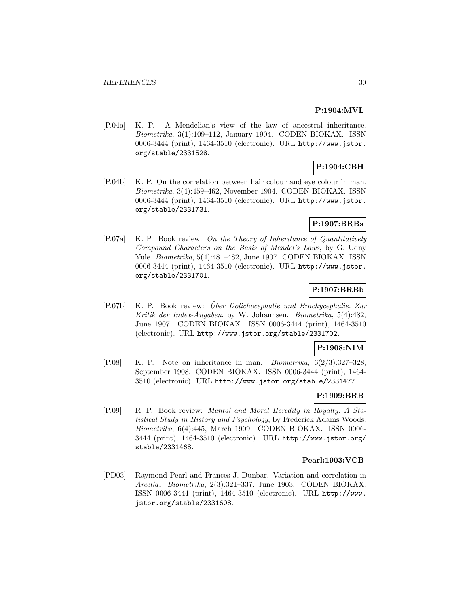## **P:1904:MVL**

[P.04a] K. P. A Mendelian's view of the law of ancestral inheritance. Biometrika, 3(1):109–112, January 1904. CODEN BIOKAX. ISSN 0006-3444 (print), 1464-3510 (electronic). URL http://www.jstor. org/stable/2331528.

## **P:1904:CBH**

[P.04b] K. P. On the correlation between hair colour and eye colour in man. Biometrika, 3(4):459–462, November 1904. CODEN BIOKAX. ISSN 0006-3444 (print), 1464-3510 (electronic). URL http://www.jstor. org/stable/2331731.

## **P:1907:BRBa**

[P.07a] K. P. Book review: On the Theory of Inheritance of Quantitatively Compound Characters on the Basis of Mendel's Laws, by G. Udny Yule. Biometrika, 5(4):481–482, June 1907. CODEN BIOKAX. ISSN 0006-3444 (print), 1464-3510 (electronic). URL http://www.jstor. org/stable/2331701.

## **P:1907:BRBb**

[P.07b] K. P. Book review: Über Dolichocephalie und Brachycephalie. Zur Kritik der Index-Angaben. by W. Johannsen. Biometrika, 5(4):482, June 1907. CODEN BIOKAX. ISSN 0006-3444 (print), 1464-3510 (electronic). URL http://www.jstor.org/stable/2331702.

## **P:1908:NIM**

[P.08] K. P. Note on inheritance in man. Biometrika,  $6(2/3):327-328$ , September 1908. CODEN BIOKAX. ISSN 0006-3444 (print), 1464- 3510 (electronic). URL http://www.jstor.org/stable/2331477.

## **P:1909:BRB**

[P.09] R. P. Book review: Mental and Moral Heredity in Royalty. A Statistical Study in History and Psychology, by Frederick Adams Woods. Biometrika, 6(4):445, March 1909. CODEN BIOKAX. ISSN 0006- 3444 (print), 1464-3510 (electronic). URL http://www.jstor.org/ stable/2331468.

## **Pearl:1903:VCB**

[PD03] Raymond Pearl and Frances J. Dunbar. Variation and correlation in Arcella. Biometrika, 2(3):321–337, June 1903. CODEN BIOKAX. ISSN 0006-3444 (print), 1464-3510 (electronic). URL http://www. jstor.org/stable/2331608.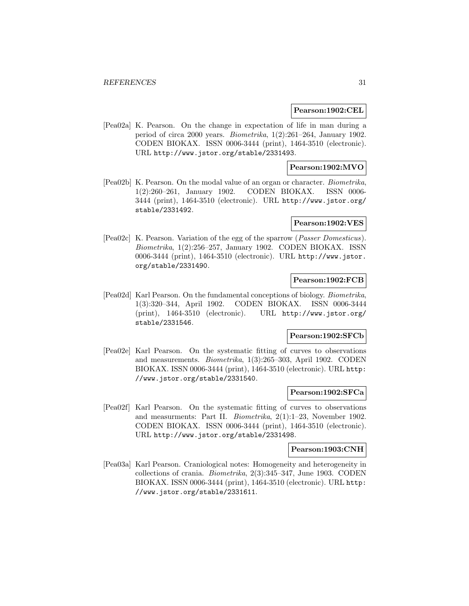#### **Pearson:1902:CEL**

[Pea02a] K. Pearson. On the change in expectation of life in man during a period of circa 2000 years. Biometrika, 1(2):261–264, January 1902. CODEN BIOKAX. ISSN 0006-3444 (print), 1464-3510 (electronic). URL http://www.jstor.org/stable/2331493.

## **Pearson:1902:MVO**

[Pea02b] K. Pearson. On the modal value of an organ or character. Biometrika, 1(2):260–261, January 1902. CODEN BIOKAX. ISSN 0006- 3444 (print), 1464-3510 (electronic). URL http://www.jstor.org/ stable/2331492.

#### **Pearson:1902:VES**

[Pea02c] K. Pearson. Variation of the egg of the sparrow (Passer Domesticus). Biometrika, 1(2):256–257, January 1902. CODEN BIOKAX. ISSN 0006-3444 (print), 1464-3510 (electronic). URL http://www.jstor. org/stable/2331490.

#### **Pearson:1902:FCB**

[Pea02d] Karl Pearson. On the fundamental conceptions of biology. Biometrika, 1(3):320–344, April 1902. CODEN BIOKAX. ISSN 0006-3444 (print), 1464-3510 (electronic). URL http://www.jstor.org/ stable/2331546.

## **Pearson:1902:SFCb**

[Pea02e] Karl Pearson. On the systematic fitting of curves to observations and measurements. Biometrika, 1(3):265–303, April 1902. CODEN BIOKAX. ISSN 0006-3444 (print), 1464-3510 (electronic). URL http: //www.jstor.org/stable/2331540.

## **Pearson:1902:SFCa**

[Pea02f] Karl Pearson. On the systematic fitting of curves to observations and measurments: Part II. Biometrika, 2(1):1–23, November 1902. CODEN BIOKAX. ISSN 0006-3444 (print), 1464-3510 (electronic). URL http://www.jstor.org/stable/2331498.

#### **Pearson:1903:CNH**

[Pea03a] Karl Pearson. Craniological notes: Homogeneity and heterogeneity in collections of crania. Biometrika, 2(3):345–347, June 1903. CODEN BIOKAX. ISSN 0006-3444 (print), 1464-3510 (electronic). URL http: //www.jstor.org/stable/2331611.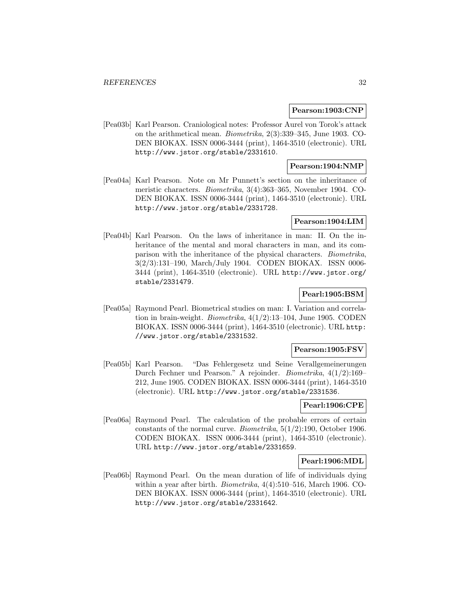### **Pearson:1903:CNP**

[Pea03b] Karl Pearson. Craniological notes: Professor Aurel von Torok's attack on the arithmetical mean. Biometrika, 2(3):339–345, June 1903. CO-DEN BIOKAX. ISSN 0006-3444 (print), 1464-3510 (electronic). URL http://www.jstor.org/stable/2331610.

## **Pearson:1904:NMP**

[Pea04a] Karl Pearson. Note on Mr Punnett's section on the inheritance of meristic characters. Biometrika, 3(4):363–365, November 1904. CO-DEN BIOKAX. ISSN 0006-3444 (print), 1464-3510 (electronic). URL http://www.jstor.org/stable/2331728.

## **Pearson:1904:LIM**

[Pea04b] Karl Pearson. On the laws of inheritance in man: II. On the inheritance of the mental and moral characters in man, and its comparison with the inheritance of the physical characters. Biometrika, 3(2/3):131–190, March/July 1904. CODEN BIOKAX. ISSN 0006- 3444 (print), 1464-3510 (electronic). URL http://www.jstor.org/ stable/2331479.

## **Pearl:1905:BSM**

[Pea05a] Raymond Pearl. Biometrical studies on man: I. Variation and correlation in brain-weight. Biometrika, 4(1/2):13–104, June 1905. CODEN BIOKAX. ISSN 0006-3444 (print), 1464-3510 (electronic). URL http: //www.jstor.org/stable/2331532.

### **Pearson:1905:FSV**

[Pea05b] Karl Pearson. "Das Fehlergesetz und Seine Verallgemeinerungen Durch Fechner und Pearson." A rejoinder. Biometrika, 4(1/2):169– 212, June 1905. CODEN BIOKAX. ISSN 0006-3444 (print), 1464-3510 (electronic). URL http://www.jstor.org/stable/2331536.

#### **Pearl:1906:CPE**

[Pea06a] Raymond Pearl. The calculation of the probable errors of certain constants of the normal curve. Biometrika,  $5(1/2)$ :190, October 1906. CODEN BIOKAX. ISSN 0006-3444 (print), 1464-3510 (electronic). URL http://www.jstor.org/stable/2331659.

## **Pearl:1906:MDL**

[Pea06b] Raymond Pearl. On the mean duration of life of individuals dying within a year after birth. Biometrika, 4(4):510–516, March 1906. CO-DEN BIOKAX. ISSN 0006-3444 (print), 1464-3510 (electronic). URL http://www.jstor.org/stable/2331642.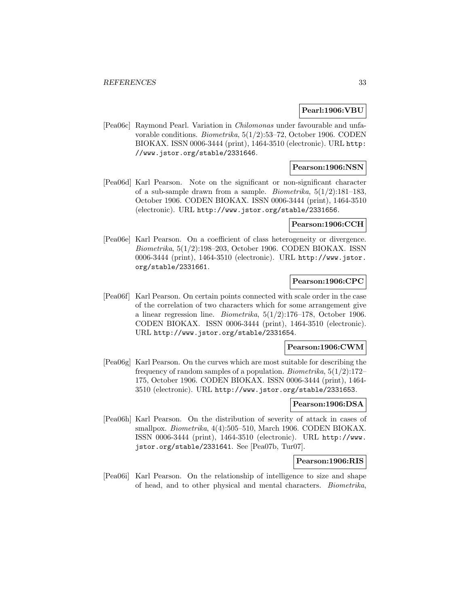### **Pearl:1906:VBU**

[Pea06c] Raymond Pearl. Variation in Chilomonas under favourable and unfavorable conditions. Biometrika, 5(1/2):53–72, October 1906. CODEN BIOKAX. ISSN 0006-3444 (print), 1464-3510 (electronic). URL http: //www.jstor.org/stable/2331646.

## **Pearson:1906:NSN**

[Pea06d] Karl Pearson. Note on the significant or non-significant character of a sub-sample drawn from a sample. *Biometrika*,  $5(1/2)$ :181–183, October 1906. CODEN BIOKAX. ISSN 0006-3444 (print), 1464-3510 (electronic). URL http://www.jstor.org/stable/2331656.

#### **Pearson:1906:CCH**

[Pea06e] Karl Pearson. On a coefficient of class heterogeneity or divergence. Biometrika, 5(1/2):198–203, October 1906. CODEN BIOKAX. ISSN 0006-3444 (print), 1464-3510 (electronic). URL http://www.jstor. org/stable/2331661.

## **Pearson:1906:CPC**

[Pea06f] Karl Pearson. On certain points connected with scale order in the case of the correlation of two characters which for some arrangement give a linear regression line. *Biometrika*,  $5(1/2)$ :176–178, October 1906. CODEN BIOKAX. ISSN 0006-3444 (print), 1464-3510 (electronic). URL http://www.jstor.org/stable/2331654.

#### **Pearson:1906:CWM**

[Pea06g] Karl Pearson. On the curves which are most suitable for describing the frequency of random samples of a population. *Biometrika*,  $5(1/2)$ :172– 175, October 1906. CODEN BIOKAX. ISSN 0006-3444 (print), 1464- 3510 (electronic). URL http://www.jstor.org/stable/2331653.

## **Pearson:1906:DSA**

[Pea06h] Karl Pearson. On the distribution of severity of attack in cases of smallpox. Biometrika, 4(4):505–510, March 1906. CODEN BIOKAX. ISSN 0006-3444 (print), 1464-3510 (electronic). URL http://www. jstor.org/stable/2331641. See [Pea07b, Tur07].

## **Pearson:1906:RIS**

[Pea06i] Karl Pearson. On the relationship of intelligence to size and shape of head, and to other physical and mental characters. Biometrika,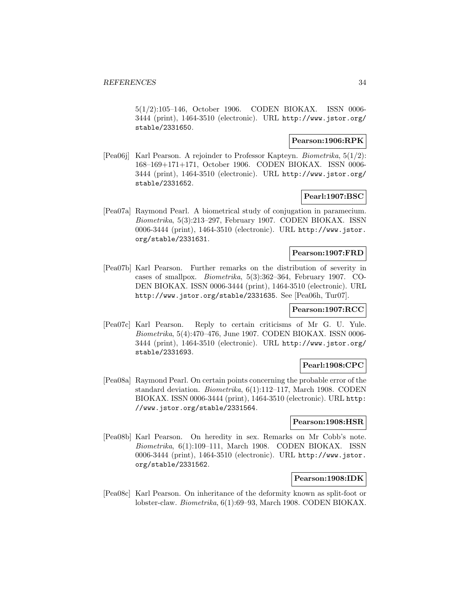5(1/2):105–146, October 1906. CODEN BIOKAX. ISSN 0006- 3444 (print), 1464-3510 (electronic). URL http://www.jstor.org/ stable/2331650.

## **Pearson:1906:RPK**

[Pea06j] Karl Pearson. A rejoinder to Professor Kapteyn. Biometrika, 5(1/2): 168–169+171+171, October 1906. CODEN BIOKAX. ISSN 0006- 3444 (print), 1464-3510 (electronic). URL http://www.jstor.org/ stable/2331652.

## **Pearl:1907:BSC**

[Pea07a] Raymond Pearl. A biometrical study of conjugation in paramecium. Biometrika, 5(3):213–297, February 1907. CODEN BIOKAX. ISSN 0006-3444 (print), 1464-3510 (electronic). URL http://www.jstor. org/stable/2331631.

## **Pearson:1907:FRD**

[Pea07b] Karl Pearson. Further remarks on the distribution of severity in cases of smallpox. Biometrika, 5(3):362–364, February 1907. CO-DEN BIOKAX. ISSN 0006-3444 (print), 1464-3510 (electronic). URL http://www.jstor.org/stable/2331635. See [Pea06h, Tur07].

## **Pearson:1907:RCC**

[Pea07c] Karl Pearson. Reply to certain criticisms of Mr G. U. Yule. Biometrika, 5(4):470–476, June 1907. CODEN BIOKAX. ISSN 0006- 3444 (print), 1464-3510 (electronic). URL http://www.jstor.org/ stable/2331693.

## **Pearl:1908:CPC**

[Pea08a] Raymond Pearl. On certain points concerning the probable error of the standard deviation. Biometrika, 6(1):112–117, March 1908. CODEN BIOKAX. ISSN 0006-3444 (print), 1464-3510 (electronic). URL http: //www.jstor.org/stable/2331564.

#### **Pearson:1908:HSR**

[Pea08b] Karl Pearson. On heredity in sex. Remarks on Mr Cobb's note. Biometrika, 6(1):109–111, March 1908. CODEN BIOKAX. ISSN 0006-3444 (print), 1464-3510 (electronic). URL http://www.jstor. org/stable/2331562.

## **Pearson:1908:IDK**

[Pea08c] Karl Pearson. On inheritance of the deformity known as split-foot or lobster-claw. Biometrika, 6(1):69–93, March 1908. CODEN BIOKAX.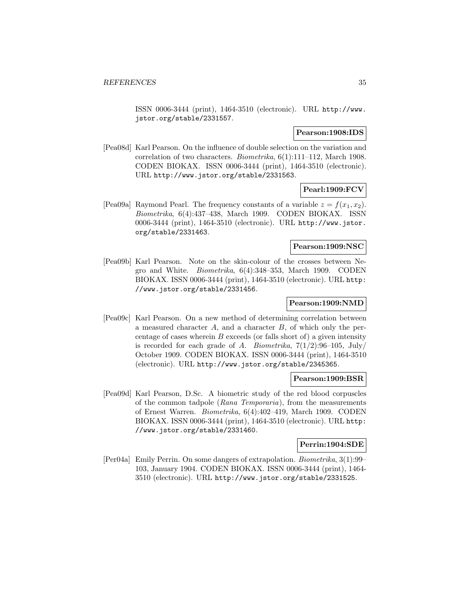ISSN 0006-3444 (print), 1464-3510 (electronic). URL http://www. jstor.org/stable/2331557.

#### **Pearson:1908:IDS**

[Pea08d] Karl Pearson. On the influence of double selection on the variation and correlation of two characters. Biometrika, 6(1):111–112, March 1908. CODEN BIOKAX. ISSN 0006-3444 (print), 1464-3510 (electronic). URL http://www.jstor.org/stable/2331563.

**Pearl:1909:FCV**

[Pea09a] Raymond Pearl. The frequency constants of a variable  $z = f(x_1, x_2)$ . Biometrika, 6(4):437–438, March 1909. CODEN BIOKAX. ISSN 0006-3444 (print), 1464-3510 (electronic). URL http://www.jstor. org/stable/2331463.

### **Pearson:1909:NSC**

[Pea09b] Karl Pearson. Note on the skin-colour of the crosses between Negro and White. Biometrika, 6(4):348–353, March 1909. CODEN BIOKAX. ISSN 0006-3444 (print), 1464-3510 (electronic). URL http: //www.jstor.org/stable/2331456.

## **Pearson:1909:NMD**

[Pea09c] Karl Pearson. On a new method of determining correlation between a measured character A, and a character B, of which only the percentage of cases wherein  $B$  exceeds (or falls short of) a given intensity is recorded for each grade of A. Biometrika,  $7(1/2):96-105$ , July/ October 1909. CODEN BIOKAX. ISSN 0006-3444 (print), 1464-3510 (electronic). URL http://www.jstor.org/stable/2345365.

## **Pearson:1909:BSR**

[Pea09d] Karl Pearson, D.Sc. A biometric study of the red blood corpuscles of the common tadpole (Rana Temporaria), from the measurements of Ernest Warren. Biometrika, 6(4):402–419, March 1909. CODEN BIOKAX. ISSN 0006-3444 (print), 1464-3510 (electronic). URL http: //www.jstor.org/stable/2331460.

## **Perrin:1904:SDE**

[Per04a] Emily Perrin. On some dangers of extrapolation. Biometrika, 3(1):99– 103, January 1904. CODEN BIOKAX. ISSN 0006-3444 (print), 1464- 3510 (electronic). URL http://www.jstor.org/stable/2331525.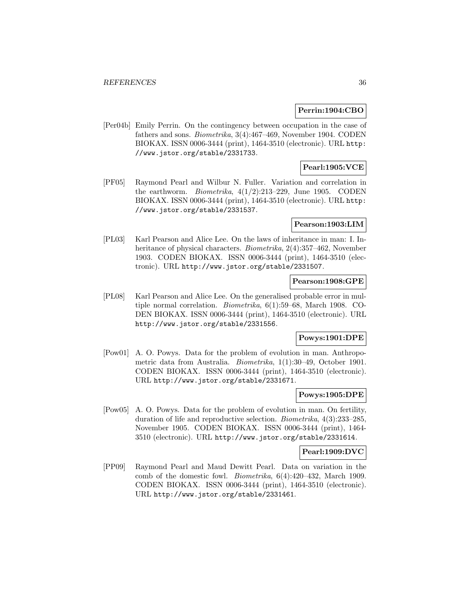#### **Perrin:1904:CBO**

[Per04b] Emily Perrin. On the contingency between occupation in the case of fathers and sons. Biometrika, 3(4):467–469, November 1904. CODEN BIOKAX. ISSN 0006-3444 (print), 1464-3510 (electronic). URL http: //www.jstor.org/stable/2331733.

## **Pearl:1905:VCE**

[PF05] Raymond Pearl and Wilbur N. Fuller. Variation and correlation in the earthworm. *Biometrika*,  $4(1/2):213-229$ , June 1905. CODEN BIOKAX. ISSN 0006-3444 (print), 1464-3510 (electronic). URL http: //www.jstor.org/stable/2331537.

## **Pearson:1903:LIM**

[PL03] Karl Pearson and Alice Lee. On the laws of inheritance in man: I. Inheritance of physical characters. Biometrika, 2(4):357–462, November 1903. CODEN BIOKAX. ISSN 0006-3444 (print), 1464-3510 (electronic). URL http://www.jstor.org/stable/2331507.

## **Pearson:1908:GPE**

[PL08] Karl Pearson and Alice Lee. On the generalised probable error in multiple normal correlation. Biometrika, 6(1):59–68, March 1908. CO-DEN BIOKAX. ISSN 0006-3444 (print), 1464-3510 (electronic). URL http://www.jstor.org/stable/2331556.

## **Powys:1901:DPE**

[Pow01] A. O. Powys. Data for the problem of evolution in man. Anthropometric data from Australia. Biometrika, 1(1):30–49, October 1901. CODEN BIOKAX. ISSN 0006-3444 (print), 1464-3510 (electronic). URL http://www.jstor.org/stable/2331671.

## **Powys:1905:DPE**

[Pow05] A. O. Powys. Data for the problem of evolution in man. On fertility, duration of life and reproductive selection. Biometrika, 4(3):233–285, November 1905. CODEN BIOKAX. ISSN 0006-3444 (print), 1464- 3510 (electronic). URL http://www.jstor.org/stable/2331614.

#### **Pearl:1909:DVC**

[PP09] Raymond Pearl and Maud Dewitt Pearl. Data on variation in the comb of the domestic fowl. Biometrika, 6(4):420–432, March 1909. CODEN BIOKAX. ISSN 0006-3444 (print), 1464-3510 (electronic). URL http://www.jstor.org/stable/2331461.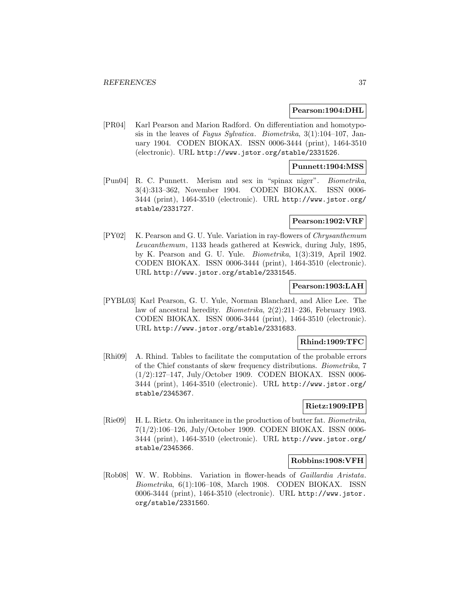#### **Pearson:1904:DHL**

[PR04] Karl Pearson and Marion Radford. On differentiation and homotyposis in the leaves of Fagus Sylvatica. Biometrika, 3(1):104–107, January 1904. CODEN BIOKAX. ISSN 0006-3444 (print), 1464-3510 (electronic). URL http://www.jstor.org/stable/2331526.

## **Punnett:1904:MSS**

[Pun04] R. C. Punnett. Merism and sex in "spinax niger". Biometrika, 3(4):313–362, November 1904. CODEN BIOKAX. ISSN 0006- 3444 (print), 1464-3510 (electronic). URL http://www.jstor.org/ stable/2331727.

#### **Pearson:1902:VRF**

[PY02] K. Pearson and G. U. Yule. Variation in ray-flowers of Chrysanthemum Leucanthemum, 1133 heads gathered at Keswick, during July, 1895, by K. Pearson and G. U. Yule. Biometrika, 1(3):319, April 1902. CODEN BIOKAX. ISSN 0006-3444 (print), 1464-3510 (electronic). URL http://www.jstor.org/stable/2331545.

#### **Pearson:1903:LAH**

[PYBL03] Karl Pearson, G. U. Yule, Norman Blanchard, and Alice Lee. The law of ancestral heredity. Biometrika, 2(2):211–236, February 1903. CODEN BIOKAX. ISSN 0006-3444 (print), 1464-3510 (electronic). URL http://www.jstor.org/stable/2331683.

## **Rhind:1909:TFC**

[Rhi09] A. Rhind. Tables to facilitate the computation of the probable errors of the Chief constants of skew frequency distributions. Biometrika, 7 (1/2):127–147, July/October 1909. CODEN BIOKAX. ISSN 0006- 3444 (print), 1464-3510 (electronic). URL http://www.jstor.org/ stable/2345367.

## **Rietz:1909:IPB**

[Rie09] H. L. Rietz. On inheritance in the production of butter fat. Biometrika, 7(1/2):106–126, July/October 1909. CODEN BIOKAX. ISSN 0006- 3444 (print), 1464-3510 (electronic). URL http://www.jstor.org/ stable/2345366.

#### **Robbins:1908:VFH**

[Rob08] W. W. Robbins. Variation in flower-heads of Gaillardia Aristata. Biometrika, 6(1):106–108, March 1908. CODEN BIOKAX. ISSN 0006-3444 (print), 1464-3510 (electronic). URL http://www.jstor. org/stable/2331560.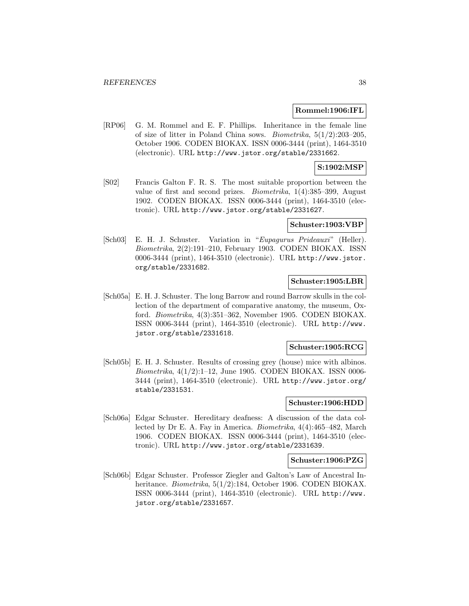#### **Rommel:1906:IFL**

[RP06] G. M. Rommel and E. F. Phillips. Inheritance in the female line of size of litter in Poland China sows. *Biometrika*,  $5(1/2):203-205$ , October 1906. CODEN BIOKAX. ISSN 0006-3444 (print), 1464-3510 (electronic). URL http://www.jstor.org/stable/2331662.

## **S:1902:MSP**

[S02] Francis Galton F. R. S. The most suitable proportion between the value of first and second prizes. Biometrika, 1(4):385–399, August 1902. CODEN BIOKAX. ISSN 0006-3444 (print), 1464-3510 (electronic). URL http://www.jstor.org/stable/2331627.

#### **Schuster:1903:VBP**

[Sch03] E. H. J. Schuster. Variation in "Eupagurus Prideauxi" (Heller). Biometrika, 2(2):191–210, February 1903. CODEN BIOKAX. ISSN 0006-3444 (print), 1464-3510 (electronic). URL http://www.jstor. org/stable/2331682.

## **Schuster:1905:LBR**

[Sch05a] E. H. J. Schuster. The long Barrow and round Barrow skulls in the collection of the department of comparative anatomy, the museum, Oxford. Biometrika, 4(3):351–362, November 1905. CODEN BIOKAX. ISSN 0006-3444 (print), 1464-3510 (electronic). URL http://www. jstor.org/stable/2331618.

#### **Schuster:1905:RCG**

[Sch05b] E. H. J. Schuster. Results of crossing grey (house) mice with albinos. Biometrika, 4(1/2):1–12, June 1905. CODEN BIOKAX. ISSN 0006- 3444 (print), 1464-3510 (electronic). URL http://www.jstor.org/ stable/2331531.

## **Schuster:1906:HDD**

[Sch06a] Edgar Schuster. Hereditary deafness: A discussion of the data collected by Dr E. A. Fay in America. Biometrika, 4(4):465–482, March 1906. CODEN BIOKAX. ISSN 0006-3444 (print), 1464-3510 (electronic). URL http://www.jstor.org/stable/2331639.

#### **Schuster:1906:PZG**

[Sch06b] Edgar Schuster. Professor Ziegler and Galton's Law of Ancestral Inheritance. Biometrika, 5(1/2):184, October 1906. CODEN BIOKAX. ISSN 0006-3444 (print), 1464-3510 (electronic). URL http://www. jstor.org/stable/2331657.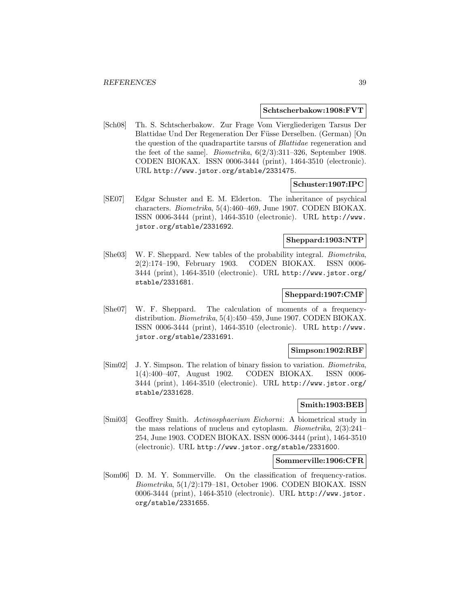#### **Schtscherbakow:1908:FVT**

[Sch08] Th. S. Schtscherbakow. Zur Frage Vom Viergliederigen Tarsus Der Blattidae Und Der Regeneration Der Füsse Derselben. (German) [On the question of the quadrapartite tarsus of Blattidae regeneration and the feet of the same]. *Biometrika*,  $6(2/3)$ :311–326, September 1908. CODEN BIOKAX. ISSN 0006-3444 (print), 1464-3510 (electronic). URL http://www.jstor.org/stable/2331475.

## **Schuster:1907:IPC**

[SE07] Edgar Schuster and E. M. Elderton. The inheritance of psychical characters. Biometrika, 5(4):460–469, June 1907. CODEN BIOKAX. ISSN 0006-3444 (print), 1464-3510 (electronic). URL http://www. jstor.org/stable/2331692.

## **Sheppard:1903:NTP**

[She03] W. F. Sheppard. New tables of the probability integral. Biometrika, 2(2):174–190, February 1903. CODEN BIOKAX. ISSN 0006- 3444 (print), 1464-3510 (electronic). URL http://www.jstor.org/ stable/2331681.

## **Sheppard:1907:CMF**

[She07] W. F. Sheppard. The calculation of moments of a frequencydistribution. Biometrika, 5(4):450–459, June 1907. CODEN BIOKAX. ISSN 0006-3444 (print), 1464-3510 (electronic). URL http://www. jstor.org/stable/2331691.

#### **Simpson:1902:RBF**

[Sim02] J. Y. Simpson. The relation of binary fission to variation. Biometrika, 1(4):400–407, August 1902. CODEN BIOKAX. ISSN 0006- 3444 (print), 1464-3510 (electronic). URL http://www.jstor.org/ stable/2331628.

## **Smith:1903:BEB**

[Smi03] Geoffrey Smith. Actinosphaerium Eichorni: A biometrical study in the mass relations of nucleus and cytoplasm. Biometrika, 2(3):241– 254, June 1903. CODEN BIOKAX. ISSN 0006-3444 (print), 1464-3510 (electronic). URL http://www.jstor.org/stable/2331600.

#### **Sommerville:1906:CFR**

[Som06] D. M. Y. Sommerville. On the classification of frequency-ratios. Biometrika, 5(1/2):179–181, October 1906. CODEN BIOKAX. ISSN 0006-3444 (print), 1464-3510 (electronic). URL http://www.jstor. org/stable/2331655.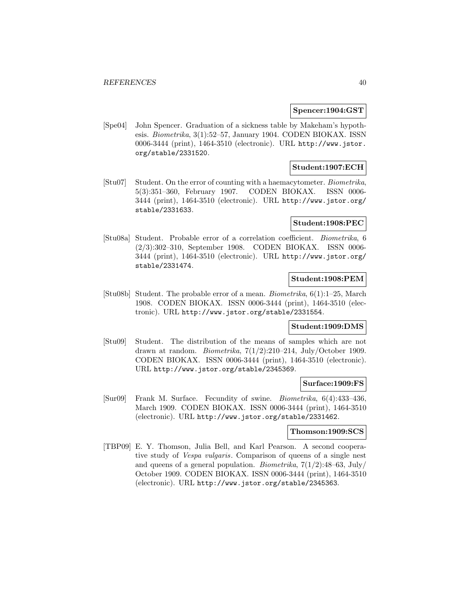### **Spencer:1904:GST**

[Spe04] John Spencer. Graduation of a sickness table by Makeham's hypothesis. Biometrika, 3(1):52–57, January 1904. CODEN BIOKAX. ISSN 0006-3444 (print), 1464-3510 (electronic). URL http://www.jstor. org/stable/2331520.

## **Student:1907:ECH**

[Stu07] Student. On the error of counting with a haemacytometer. Biometrika, 5(3):351–360, February 1907. CODEN BIOKAX. ISSN 0006- 3444 (print), 1464-3510 (electronic). URL http://www.jstor.org/ stable/2331633.

## **Student:1908:PEC**

[Stu08a] Student. Probable error of a correlation coefficient. Biometrika, 6 (2/3):302–310, September 1908. CODEN BIOKAX. ISSN 0006- 3444 (print), 1464-3510 (electronic). URL http://www.jstor.org/ stable/2331474.

## **Student:1908:PEM**

[Stu08b] Student. The probable error of a mean. Biometrika, 6(1):1–25, March 1908. CODEN BIOKAX. ISSN 0006-3444 (print), 1464-3510 (electronic). URL http://www.jstor.org/stable/2331554.

#### **Student:1909:DMS**

[Stu09] Student. The distribution of the means of samples which are not drawn at random. *Biometrika*,  $7(1/2):210-214$ , July/October 1909. CODEN BIOKAX. ISSN 0006-3444 (print), 1464-3510 (electronic). URL http://www.jstor.org/stable/2345369.

#### **Surface:1909:FS**

[Sur09] Frank M. Surface. Fecundity of swine. Biometrika, 6(4):433–436, March 1909. CODEN BIOKAX. ISSN 0006-3444 (print), 1464-3510 (electronic). URL http://www.jstor.org/stable/2331462.

## **Thomson:1909:SCS**

[TBP09] E. Y. Thomson, Julia Bell, and Karl Pearson. A second cooperative study of Vespa vulgaris. Comparison of queens of a single nest and queens of a general population. *Biometrika*,  $7(1/2)$ :48–63, July/ October 1909. CODEN BIOKAX. ISSN 0006-3444 (print), 1464-3510 (electronic). URL http://www.jstor.org/stable/2345363.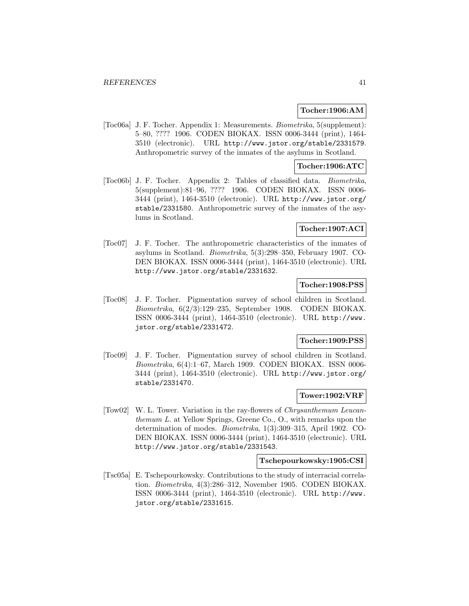## **Tocher:1906:AM**

[Toc06a] J. F. Tocher. Appendix 1: Measurements. Biometrika, 5(supplement): 5–80, ???? 1906. CODEN BIOKAX. ISSN 0006-3444 (print), 1464- 3510 (electronic). URL http://www.jstor.org/stable/2331579. Anthropometric survey of the inmates of the asylums in Scotland.

## **Tocher:1906:ATC**

[Toc06b] J. F. Tocher. Appendix 2: Tables of classified data. Biometrika, 5(supplement):81–96, ???? 1906. CODEN BIOKAX. ISSN 0006- 3444 (print), 1464-3510 (electronic). URL http://www.jstor.org/ stable/2331580. Anthropometric survey of the inmates of the asylums in Scotland.

## **Tocher:1907:ACI**

[Toc07] J. F. Tocher. The anthropometric characteristics of the inmates of asylums in Scotland. Biometrika, 5(3):298–350, February 1907. CO-DEN BIOKAX. ISSN 0006-3444 (print), 1464-3510 (electronic). URL http://www.jstor.org/stable/2331632.

## **Tocher:1908:PSS**

[Toc08] J. F. Tocher. Pigmentation survey of school children in Scotland. Biometrika, 6(2/3):129–235, September 1908. CODEN BIOKAX. ISSN 0006-3444 (print), 1464-3510 (electronic). URL http://www. jstor.org/stable/2331472.

## **Tocher:1909:PSS**

[Toc09] J. F. Tocher. Pigmentation survey of school children in Scotland. Biometrika, 6(4):1–67, March 1909. CODEN BIOKAX. ISSN 0006- 3444 (print), 1464-3510 (electronic). URL http://www.jstor.org/ stable/2331470.

## **Tower:1902:VRF**

[Tow02] W. L. Tower. Variation in the ray-flowers of Chrysanthemum Leucanthemum L. at Yellow Springs, Greene Co., O., with remarks upon the determination of modes. Biometrika, 1(3):309–315, April 1902. CO-DEN BIOKAX. ISSN 0006-3444 (print), 1464-3510 (electronic). URL http://www.jstor.org/stable/2331543.

#### **Tschepourkowsky:1905:CSI**

[Tsc05a] E. Tschepourkowsky. Contributions to the study of interracial correlation. Biometrika, 4(3):286–312, November 1905. CODEN BIOKAX. ISSN 0006-3444 (print), 1464-3510 (electronic). URL http://www. jstor.org/stable/2331615.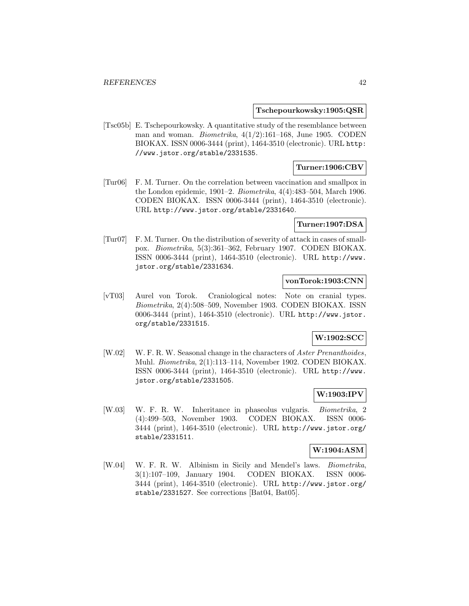**Tschepourkowsky:1905:QSR**

[Tsc05b] E. Tschepourkowsky. A quantitative study of the resemblance between man and woman. *Biometrika*,  $4(1/2):161-168$ , June 1905. CODEN BIOKAX. ISSN 0006-3444 (print), 1464-3510 (electronic). URL http: //www.jstor.org/stable/2331535.

## **Turner:1906:CBV**

[Tur06] F. M. Turner. On the correlation between vaccination and smallpox in the London epidemic, 1901–2. Biometrika, 4(4):483–504, March 1906. CODEN BIOKAX. ISSN 0006-3444 (print), 1464-3510 (electronic). URL http://www.jstor.org/stable/2331640.

## **Turner:1907:DSA**

[Tur07] F. M. Turner. On the distribution of severity of attack in cases of smallpox. Biometrika, 5(3):361–362, February 1907. CODEN BIOKAX. ISSN 0006-3444 (print), 1464-3510 (electronic). URL http://www. jstor.org/stable/2331634.

## **vonTorok:1903:CNN**

[vT03] Aurel von Torok. Craniological notes: Note on cranial types. Biometrika, 2(4):508–509, November 1903. CODEN BIOKAX. ISSN 0006-3444 (print), 1464-3510 (electronic). URL http://www.jstor. org/stable/2331515.

## **W:1902:SCC**

[W.02] W. F. R. W. Seasonal change in the characters of Aster Prenanthoides, Muhl. Biometrika, 2(1):113–114, November 1902. CODEN BIOKAX. ISSN 0006-3444 (print), 1464-3510 (electronic). URL http://www. jstor.org/stable/2331505.

## **W:1903:IPV**

[W.03] W. F. R. W. Inheritance in phaseolus vulgaris. Biometrika, 2 (4):499–503, November 1903. CODEN BIOKAX. ISSN 0006- 3444 (print), 1464-3510 (electronic). URL http://www.jstor.org/ stable/2331511.

#### **W:1904:ASM**

[W.04] W. F. R. W. Albinism in Sicily and Mendel's laws. Biometrika, 3(1):107–109, January 1904. CODEN BIOKAX. ISSN 0006- 3444 (print), 1464-3510 (electronic). URL http://www.jstor.org/ stable/2331527. See corrections [Bat04, Bat05].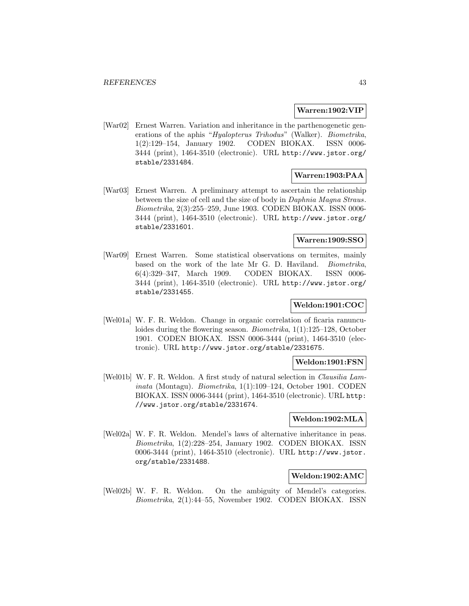### **Warren:1902:VIP**

[War02] Ernest Warren. Variation and inheritance in the parthenogenetic generations of the aphis "Hyalopterus Trihodus" (Walker). Biometrika, 1(2):129–154, January 1902. CODEN BIOKAX. ISSN 0006- 3444 (print), 1464-3510 (electronic). URL http://www.jstor.org/ stable/2331484.

## **Warren:1903:PAA**

[War03] Ernest Warren. A preliminary attempt to ascertain the relationship between the size of cell and the size of body in Daphnia Magna Straus. Biometrika, 2(3):255–259, June 1903. CODEN BIOKAX. ISSN 0006- 3444 (print), 1464-3510 (electronic). URL http://www.jstor.org/ stable/2331601.

## **Warren:1909:SSO**

[War09] Ernest Warren. Some statistical observations on termites, mainly based on the work of the late Mr G. D. Haviland. Biometrika, 6(4):329–347, March 1909. CODEN BIOKAX. ISSN 0006- 3444 (print), 1464-3510 (electronic). URL http://www.jstor.org/ stable/2331455.

## **Weldon:1901:COC**

[Wel01a] W. F. R. Weldon. Change in organic correlation of ficaria ranunculoides during the flowering season. Biometrika, 1(1):125–128, October 1901. CODEN BIOKAX. ISSN 0006-3444 (print), 1464-3510 (electronic). URL http://www.jstor.org/stable/2331675.

## **Weldon:1901:FSN**

[Wel01b] W. F. R. Weldon. A first study of natural selection in Clausilia Laminata (Montagu). Biometrika, 1(1):109–124, October 1901. CODEN BIOKAX. ISSN 0006-3444 (print), 1464-3510 (electronic). URL http: //www.jstor.org/stable/2331674.

## **Weldon:1902:MLA**

[Wel02a] W. F. R. Weldon. Mendel's laws of alternative inheritance in peas. Biometrika, 1(2):228–254, January 1902. CODEN BIOKAX. ISSN 0006-3444 (print), 1464-3510 (electronic). URL http://www.jstor. org/stable/2331488.

#### **Weldon:1902:AMC**

[Wel02b] W. F. R. Weldon. On the ambiguity of Mendel's categories. Biometrika, 2(1):44–55, November 1902. CODEN BIOKAX. ISSN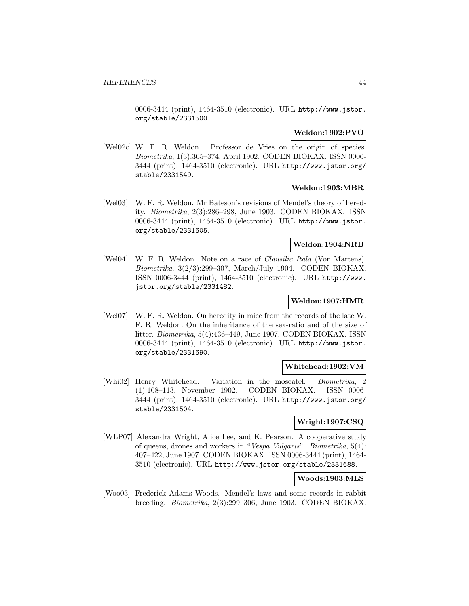0006-3444 (print), 1464-3510 (electronic). URL http://www.jstor. org/stable/2331500.

## **Weldon:1902:PVO**

[Wel02c] W. F. R. Weldon. Professor de Vries on the origin of species. Biometrika, 1(3):365–374, April 1902. CODEN BIOKAX. ISSN 0006- 3444 (print), 1464-3510 (electronic). URL http://www.jstor.org/ stable/2331549.

## **Weldon:1903:MBR**

[Wel03] W. F. R. Weldon. Mr Bateson's revisions of Mendel's theory of heredity. Biometrika, 2(3):286–298, June 1903. CODEN BIOKAX. ISSN 0006-3444 (print), 1464-3510 (electronic). URL http://www.jstor. org/stable/2331605.

## **Weldon:1904:NRB**

[Wel04] W. F. R. Weldon. Note on a race of Clausilia Itala (Von Martens). Biometrika, 3(2/3):299–307, March/July 1904. CODEN BIOKAX. ISSN 0006-3444 (print), 1464-3510 (electronic). URL http://www. jstor.org/stable/2331482.

## **Weldon:1907:HMR**

[Wel07] W. F. R. Weldon. On heredity in mice from the records of the late W. F. R. Weldon. On the inheritance of the sex-ratio and of the size of litter. Biometrika, 5(4):436–449, June 1907. CODEN BIOKAX. ISSN 0006-3444 (print), 1464-3510 (electronic). URL http://www.jstor. org/stable/2331690.

## **Whitehead:1902:VM**

[Whi02] Henry Whitehead. Variation in the moscatel. Biometrika, 2 (1):108–113, November 1902. CODEN BIOKAX. ISSN 0006- 3444 (print), 1464-3510 (electronic). URL http://www.jstor.org/ stable/2331504.

## **Wright:1907:CSQ**

[WLP07] Alexandra Wright, Alice Lee, and K. Pearson. A cooperative study of queens, drones and workers in "Vespa Vulgaris". Biometrika, 5(4): 407–422, June 1907. CODEN BIOKAX. ISSN 0006-3444 (print), 1464- 3510 (electronic). URL http://www.jstor.org/stable/2331688.

#### **Woods:1903:MLS**

[Woo03] Frederick Adams Woods. Mendel's laws and some records in rabbit breeding. Biometrika, 2(3):299–306, June 1903. CODEN BIOKAX.